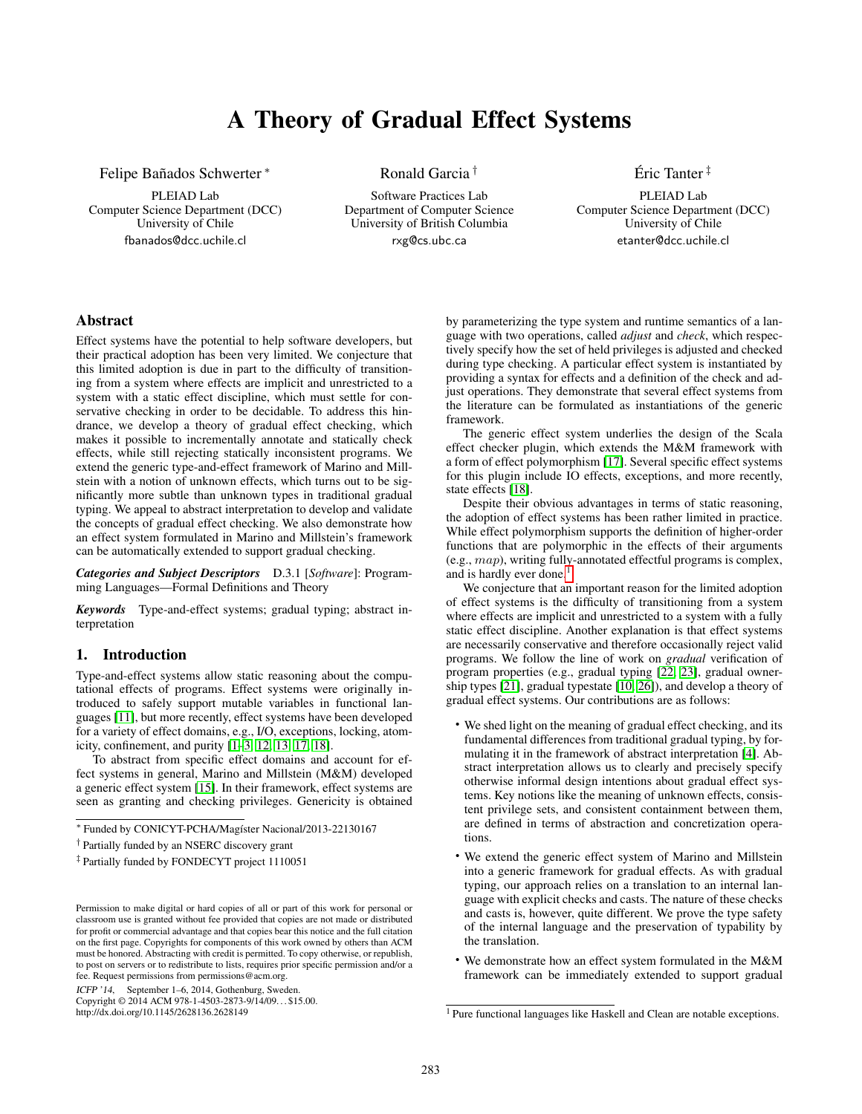# A Theory of Gradual Effect Systems

Felipe Bañados Schwerter\*

PLEIAD Lab Computer Science Department (DCC) University of Chile fbanados@dcc.uchile.cl

Ronald Garcia †

Software Practices Lab Department of Computer Science University of British Columbia rxg@cs.ubc.ca

 $\text{Éric Tanter}$ <sup> $\ddagger$ </sup>

PLEIAD Lab Computer Science Department (DCC) University of Chile etanter@dcc.uchile.cl

# Abstract

Effect systems have the potential to help software developers, but their practical adoption has been very limited. We conjecture that this limited adoption is due in part to the difficulty of transitioning from a system where effects are implicit and unrestricted to a system with a static effect discipline, which must settle for conservative checking in order to be decidable. To address this hindrance, we develop a theory of gradual effect checking, which makes it possible to incrementally annotate and statically check effects, while still rejecting statically inconsistent programs. We extend the generic type-and-effect framework of Marino and Millstein with a notion of unknown effects, which turns out to be significantly more subtle than unknown types in traditional gradual typing. We appeal to abstract interpretation to develop and validate the concepts of gradual effect checking. We also demonstrate how an effect system formulated in Marino and Millstein's framework can be automatically extended to support gradual checking.

*Categories and Subject Descriptors* D.3.1 [*Software*]: Programming Languages—Formal Definitions and Theory

*Keywords* Type-and-effect systems; gradual typing; abstract interpretation

## 1. Introduction

Type-and-effect systems allow static reasoning about the computational effects of programs. Effect systems were originally introduced to safely support mutable variables in functional languages [\[11\]](#page-12-0), but more recently, effect systems have been developed for a variety of effect domains, e.g., I/O, exceptions, locking, atomicity, confinement, and purity [\[1](#page-11-0)[–3,](#page-11-1) [12,](#page-12-1) [13,](#page-12-2) [17,](#page-12-3) [18\]](#page-12-4).

To abstract from specific effect domains and account for effect systems in general, Marino and Millstein (M&M) developed a generic effect system [\[15\]](#page-12-5). In their framework, effect systems are seen as granting and checking privileges. Genericity is obtained

<sup>∗</sup> Funded by CONICYT-PCHA/Mag´ıster Nacional/2013-22130167

ICFP '14, September 1–6, 2014, Gothenburg, Sweden.

Copyright © 2014 ACM 978-1-4503-2873-9/14/09. . . \$15.00. http://dx.doi.org/10.1145/2628136.2628149

by parameterizing the type system and runtime semantics of a language with two operations, called *adjust* and *check*, which respectively specify how the set of held privileges is adjusted and checked during type checking. A particular effect system is instantiated by providing a syntax for effects and a definition of the check and adjust operations. They demonstrate that several effect systems from the literature can be formulated as instantiations of the generic framework.

The generic effect system underlies the design of the Scala effect checker plugin, which extends the M&M framework with a form of effect polymorphism [\[17\]](#page-12-3). Several specific effect systems for this plugin include IO effects, exceptions, and more recently, state effects [\[18\]](#page-12-4).

Despite their obvious advantages in terms of static reasoning, the adoption of effect systems has been rather limited in practice. While effect polymorphism supports the definition of higher-order functions that are polymorphic in the effects of their arguments (e.g., map), writing fully-annotated effectful programs is complex, and is hardly ever done.<sup>[1](#page-0-0)</sup>

We conjecture that an important reason for the limited adoption of effect systems is the difficulty of transitioning from a system where effects are implicit and unrestricted to a system with a fully static effect discipline. Another explanation is that effect systems are necessarily conservative and therefore occasionally reject valid programs. We follow the line of work on *gradual* verification of program properties (e.g., gradual typing [\[22,](#page-12-6) [23\]](#page-12-7), gradual ownership types [\[21\]](#page-12-8), gradual typestate [\[10,](#page-12-9) [26\]](#page-12-10)), and develop a theory of gradual effect systems. Our contributions are as follows:

- We shed light on the meaning of gradual effect checking, and its fundamental differences from traditional gradual typing, by formulating it in the framework of abstract interpretation [\[4\]](#page-12-11). Abstract interpretation allows us to clearly and precisely specify otherwise informal design intentions about gradual effect systems. Key notions like the meaning of unknown effects, consistent privilege sets, and consistent containment between them, are defined in terms of abstraction and concretization operations.
- We extend the generic effect system of Marino and Millstein into a generic framework for gradual effects. As with gradual typing, our approach relies on a translation to an internal language with explicit checks and casts. The nature of these checks and casts is, however, quite different. We prove the type safety of the internal language and the preservation of typability by the translation.
- We demonstrate how an effect system formulated in the M&M framework can be immediately extended to support gradual

<sup>†</sup> Partially funded by an NSERC discovery grant

<sup>‡</sup> Partially funded by FONDECYT project 1110051

Permission to make digital or hard copies of all or part of this work for personal or classroom use is granted without fee provided that copies are not made or distributed for profit or commercial advantage and that copies bear this notice and the full citation on the first page. Copyrights for components of this work owned by others than ACM must be honored. Abstracting with credit is permitted. To copy otherwise, or republish, to post on servers or to redistribute to lists, requires prior specific permission and/or a fee. Request permissions from permissions@acm.org.

<span id="page-0-0"></span><sup>&</sup>lt;sup>1</sup> Pure functional languages like Haskell and Clean are notable exceptions.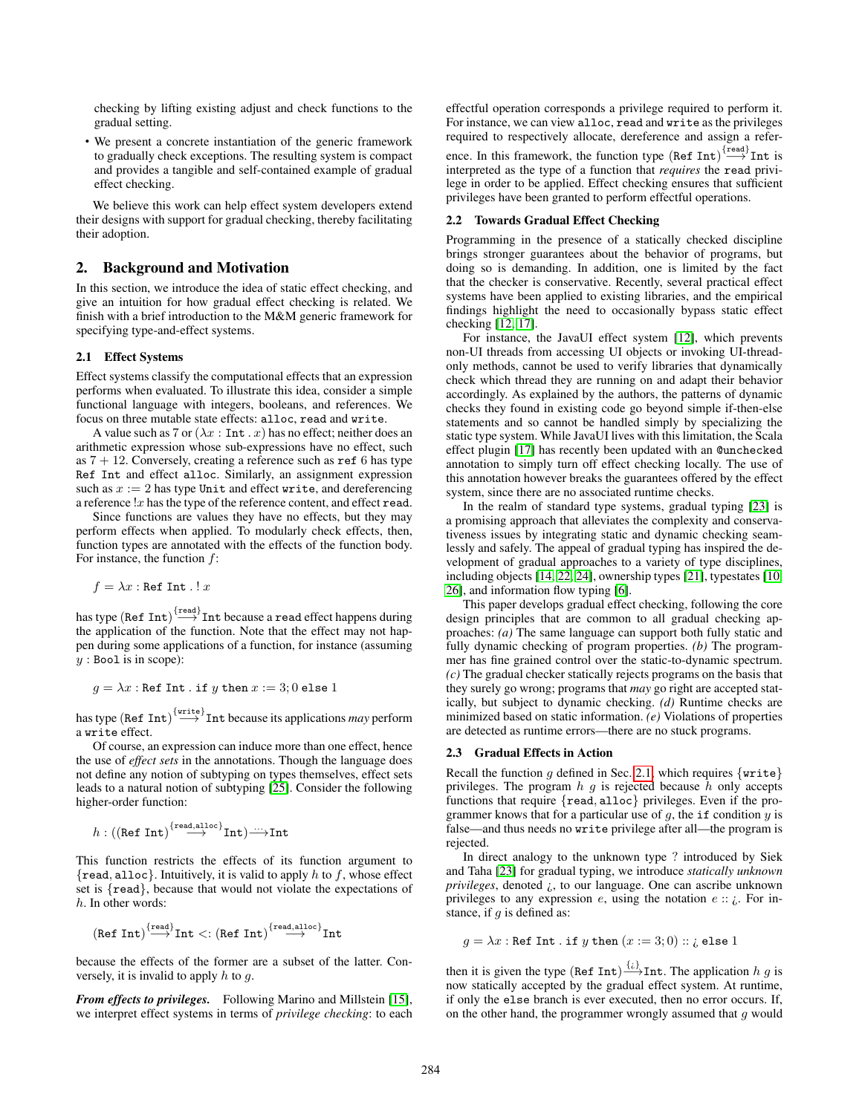checking by lifting existing adjust and check functions to the gradual setting.

• We present a concrete instantiation of the generic framework to gradually check exceptions. The resulting system is compact and provides a tangible and self-contained example of gradual effect checking.

We believe this work can help effect system developers extend their designs with support for gradual checking, thereby facilitating their adoption.

# <span id="page-1-2"></span>2. Background and Motivation

In this section, we introduce the idea of static effect checking, and give an intuition for how gradual effect checking is related. We finish with a brief introduction to the M&M generic framework for specifying type-and-effect systems.

## <span id="page-1-0"></span>2.1 Effect Systems

Effect systems classify the computational effects that an expression performs when evaluated. To illustrate this idea, consider a simple functional language with integers, booleans, and references. We focus on three mutable state effects: alloc, read and write.

A value such as 7 or  $(\lambda x : Int x)$  has no effect; neither does an arithmetic expression whose sub-expressions have no effect, such as  $7 + 12$ . Conversely, creating a reference such as ref 6 has type Ref Int and effect alloc. Similarly, an assignment expression such as  $x := 2$  has type Unit and effect write, and dereferencing a reference  $!x$  has the type of the reference content, and effect read.

Since functions are values they have no effects, but they may perform effects when applied. To modularly check effects, then, function types are annotated with the effects of the function body. For instance, the function  $f$ :

$$
f = \lambda x : \mathtt{Ref}\, \mathtt{Int}\,.\,!\, x
$$

has type (Ref Int) $\stackrel{\{\text{read}\}}{\longrightarrow}$ Int because a read effect happens during the application of the function. Note that the effect may not happen during some applications of a function, for instance (assuming  $y:$  Boo1 is in scope):

 $g = \lambda x$ : Ref Int. if y then  $x := 3; 0$  else 1

has type (Ref Int)<sup>{write}</sup>Int because its applications *may* perform a write effect.

Of course, an expression can induce more than one effect, hence the use of *effect sets* in the annotations. Though the language does not define any notion of subtyping on types themselves, effect sets leads to a natural notion of subtyping [\[25\]](#page-12-12). Consider the following higher-order function:

$$
h:((\text{Ref Int})^{\{\text{read},\text{alloc}\}}\text{Int}) {\overset{....}{\longrightarrow}} \text{Int}
$$

This function restricts the effects of its function argument to {read, alloc}. Intuitively, it is valid to apply h to f, whose effect set is {read}, because that would not violate the expectations of h. In other words:

$$
(\text{Ref Int})\!\stackrel{\{\text{read}\}}{\longrightarrow}\!\!\text{Int} <: (\text{Ref Int})\!\stackrel{\{\text{read}, \text{alloc}\}}{\longrightarrow}\!\!\text{Int}
$$

because the effects of the former are a subset of the latter. Conversely, it is invalid to apply  $h$  to  $g$ .

*From effects to privileges.* Following Marino and Millstein [\[15\]](#page-12-5), we interpret effect systems in terms of *privilege checking*: to each effectful operation corresponds a privilege required to perform it. For instance, we can view alloc, read and write as the privileges required to respectively allocate, dereference and assign a refer-

ence. In this framework, the function type (Ref Int)  $\stackrel{\text{{read}}}{\longrightarrow}$  Int is interpreted as the type of a function that *requires* the read privilege in order to be applied. Effect checking ensures that sufficient privileges have been granted to perform effectful operations.

#### <span id="page-1-1"></span>2.2 Towards Gradual Effect Checking

Programming in the presence of a statically checked discipline brings stronger guarantees about the behavior of programs, but doing so is demanding. In addition, one is limited by the fact that the checker is conservative. Recently, several practical effect systems have been applied to existing libraries, and the empirical findings highlight the need to occasionally bypass static effect checking [\[12,](#page-12-1) [17\]](#page-12-3).

For instance, the JavaUI effect system [\[12\]](#page-12-1), which prevents non-UI threads from accessing UI objects or invoking UI-threadonly methods, cannot be used to verify libraries that dynamically check which thread they are running on and adapt their behavior accordingly. As explained by the authors, the patterns of dynamic checks they found in existing code go beyond simple if-then-else statements and so cannot be handled simply by specializing the static type system. While JavaUI lives with this limitation, the Scala effect plugin [\[17\]](#page-12-3) has recently been updated with an @unchecked annotation to simply turn off effect checking locally. The use of this annotation however breaks the guarantees offered by the effect system, since there are no associated runtime checks.

In the realm of standard type systems, gradual typing [\[23\]](#page-12-7) is a promising approach that alleviates the complexity and conservativeness issues by integrating static and dynamic checking seamlessly and safely. The appeal of gradual typing has inspired the development of gradual approaches to a variety of type disciplines, including objects [\[14,](#page-12-13) [22,](#page-12-6) [24\]](#page-12-14), ownership types [\[21\]](#page-12-8), typestates [\[10,](#page-12-9) [26\]](#page-12-10), and information flow typing [\[6\]](#page-12-15).

This paper develops gradual effect checking, following the core design principles that are common to all gradual checking approaches: *(a)* The same language can support both fully static and fully dynamic checking of program properties. *(b)* The programmer has fine grained control over the static-to-dynamic spectrum. *(c)* The gradual checker statically rejects programs on the basis that they surely go wrong; programs that *may* go right are accepted statically, but subject to dynamic checking. *(d)* Runtime checks are minimized based on static information. *(e)* Violations of properties are detected as runtime errors—there are no stuck programs.

#### 2.3 Gradual Effects in Action

Recall the function q defined in Sec. [2.1,](#page-1-0) which requires  $\{write\}$ privileges. The program  $h$  g is rejected because  $h$  only accepts functions that require {read, alloc} privileges. Even if the programmer knows that for a particular use of  $q$ , the if condition  $y$  is false—and thus needs no write privilege after all—the program is rejected.

In direct analogy to the unknown type ? introduced by Siek and Taha [\[23\]](#page-12-7) for gradual typing, we introduce *statically unknown privileges*, denoted ¿, to our language. One can ascribe unknown privileges to any expression e, using the notation  $e$ ::  $\lambda$ . For instance, if  $q$  is defined as:

 $g = \lambda x$ : Ref Int. if y then  $(x := 3; 0)$ : ; else 1

then it is given the type (Ref Int) $\xrightarrow{\{i\}}$ Int. The application  $h g$  is now statically accepted by the gradual effect system. At runtime, if only the else branch is ever executed, then no error occurs. If, on the other hand, the programmer wrongly assumed that  $g$  would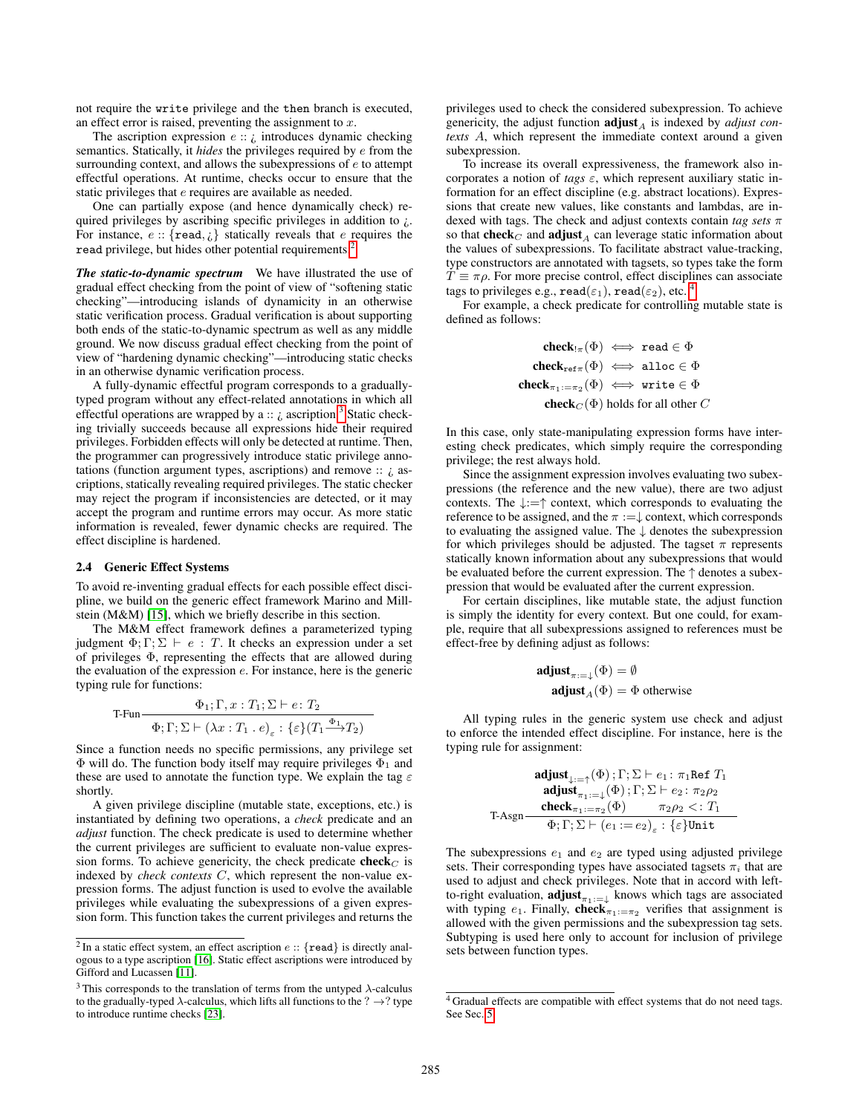not require the write privilege and the then branch is executed, an effect error is raised, preventing the assignment to  $x$ .

The ascription expression  $e$ ::  $\lambda$  introduces dynamic checking semantics. Statically, it *hides* the privileges required by e from the surrounding context, and allows the subexpressions of e to attempt effectful operations. At runtime, checks occur to ensure that the static privileges that e requires are available as needed.

One can partially expose (and hence dynamically check) required privileges by ascribing specific privileges in addition to  $\lambda$ . For instance,  $e$  :: {read,  $\lambda$ } statically reveals that e requires the read privilege, but hides other potential requirements.<sup>[2](#page-2-0)</sup>

*The static-to-dynamic spectrum* We have illustrated the use of gradual effect checking from the point of view of "softening static checking"—introducing islands of dynamicity in an otherwise static verification process. Gradual verification is about supporting both ends of the static-to-dynamic spectrum as well as any middle ground. We now discuss gradual effect checking from the point of view of "hardening dynamic checking"—introducing static checks in an otherwise dynamic verification process.

A fully-dynamic effectful program corresponds to a graduallytyped program without any effect-related annotations in which all effectful operations are wrapped by a ::  $\zeta$  ascription.<sup>[3](#page-2-1)</sup> Static checking trivially succeeds because all expressions hide their required privileges. Forbidden effects will only be detected at runtime. Then, the programmer can progressively introduce static privilege annotations (function argument types, ascriptions) and remove  $::$   $\zeta$  ascriptions, statically revealing required privileges. The static checker may reject the program if inconsistencies are detected, or it may accept the program and runtime errors may occur. As more static information is revealed, fewer dynamic checks are required. The effect discipline is hardened.

#### <span id="page-2-3"></span>2.4 Generic Effect Systems

To avoid re-inventing gradual effects for each possible effect discipline, we build on the generic effect framework Marino and Millstein (M&M) [\[15\]](#page-12-5), which we briefly describe in this section.

The M&M effect framework defines a parameterized typing judgment  $\Phi$ ;  $\Gamma$ ;  $\Sigma \vdash e : T$ . It checks an expression under a set of privileges Φ, representing the effects that are allowed during the evaluation of the expression  $e$ . For instance, here is the generic typing rule for functions:

$$
\text{T-Fun} \frac{\Phi_1; \Gamma, x: T_1; \Sigma \vdash e: T_2}{\Phi; \Gamma; \Sigma \vdash (\lambda x: T_1 \cdot e)_{\varepsilon}: \{\varepsilon\}(T_1 \xrightarrow{\Phi_1} T_2)}
$$

Since a function needs no specific permissions, any privilege set  $\Phi$  will do. The function body itself may require privileges  $\Phi_1$  and these are used to annotate the function type. We explain the tag  $\varepsilon$ shortly.

A given privilege discipline (mutable state, exceptions, etc.) is instantiated by defining two operations, a *check* predicate and an *adjust* function. The check predicate is used to determine whether the current privileges are sufficient to evaluate non-value expression forms. To achieve genericity, the check predicate **check** $_C$  is indexed by *check contexts* C, which represent the non-value expression forms. The adjust function is used to evolve the available privileges while evaluating the subexpressions of a given expression form. This function takes the current privileges and returns the privileges used to check the considered subexpression. To achieve genericity, the adjust function  $\text{adjust}_A$  is indexed by *adjust contexts* A, which represent the immediate context around a given subexpression.

To increase its overall expressiveness, the framework also incorporates a notion of *tags* ε, which represent auxiliary static information for an effect discipline (e.g. abstract locations). Expressions that create new values, like constants and lambdas, are indexed with tags. The check and adjust contexts contain *tag sets* π so that check<sub>C</sub> and adjust<sub>A</sub> can leverage static information about the values of subexpressions. To facilitate abstract value-tracking, type constructors are annotated with tagsets, so types take the form  $T \equiv \pi \rho$ . For more precise control, effect disciplines can associate tags to privileges e.g.,  $\texttt{read}(\varepsilon_1)$ ,  $\texttt{read}(\varepsilon_2)$ , etc. <sup>[4](#page-2-2)</sup>

For example, a check predicate for controlling mutable state is defined as follows:

$$
\begin{aligned}\n\text{check}_{! \pi}(\Phi) &\iff \text{read} \in \Phi \\
\text{check}_{\text{ref} \pi}(\Phi) &\iff \text{alloc} \in \Phi \\
\text{check}_{\pi_1 := \pi_2}(\Phi) &\iff \text{write} \in \Phi \\
\text{check}_C(\Phi) &\text{holds for all other } C\n\end{aligned}
$$

In this case, only state-manipulating expression forms have interesting check predicates, which simply require the corresponding privilege; the rest always hold.

Since the assignment expression involves evaluating two subexpressions (the reference and the new value), there are two adjust contexts. The ↓:=↑ context, which corresponds to evaluating the reference to be assigned, and the  $\pi := \downarrow$  context, which corresponds to evaluating the assigned value. The ↓ denotes the subexpression for which privileges should be adjusted. The tagset  $\pi$  represents statically known information about any subexpressions that would be evaluated before the current expression. The ↑ denotes a subexpression that would be evaluated after the current expression.

For certain disciplines, like mutable state, the adjust function is simply the identity for every context. But one could, for example, require that all subexpressions assigned to references must be effect-free by defining adjust as follows:

$$
adjust_{\pi:=\downarrow}(\Phi) = \emptyset
$$
  

$$
adjust_{A}(\Phi) = \Phi \text{ otherwise}
$$

All typing rules in the generic system use check and adjust to enforce the intended effect discipline. For instance, here is the typing rule for assignment:

$$
\mathbf{adjust}_{\downarrow:=\uparrow}(\Phi);\Gamma;\Sigma\vdash e_1:\pi_1\mathbf{Ref}\ T_1\\ \mathbf{adjust}_{\pi_1:=\downarrow}(\Phi);\Gamma;\Sigma\vdash e_2:\pi_2\rho_2\\ \mathbf{check}_{\pi_1:=\pi_2}(\Phi)\qquad \pi_2\rho_2<:\,T_1\\ \Phi;\Gamma;\Sigma\vdash(e_1:=e_2)_\varepsilon:\{\varepsilon\}\mathbf{Unit}
$$

The subexpressions  $e_1$  and  $e_2$  are typed using adjusted privilege sets. Their corresponding types have associated tagsets  $\pi_i$  that are used to adjust and check privileges. Note that in accord with leftto-right evaluation, **adjust**<sub> $\pi_1:=\downarrow$ </sub> knows which tags are associated with typing  $e_1$ . Finally, **check** $\pi_1: = \pi_2$  verifies that assignment is allowed with the given permissions and the subexpression tag sets. Subtyping is used here only to account for inclusion of privilege sets between function types.

<span id="page-2-0"></span><sup>&</sup>lt;sup>2</sup> In a static effect system, an effect ascription  $e$  :: {read} is directly analogous to a type ascription [\[16\]](#page-12-16). Static effect ascriptions were introduced by Gifford and Lucassen [\[11\]](#page-12-0).

<span id="page-2-1"></span><sup>&</sup>lt;sup>3</sup> This corresponds to the translation of terms from the untyped  $\lambda$ -calculus to the gradually-typed  $\lambda$ -calculus, which lifts all functions to the ?  $\rightarrow$ ? type to introduce runtime checks [\[23\]](#page-12-7).

<span id="page-2-2"></span><sup>&</sup>lt;sup>4</sup> Gradual effects are compatible with effect systems that do not need tags. See Sec. [5.](#page-9-0)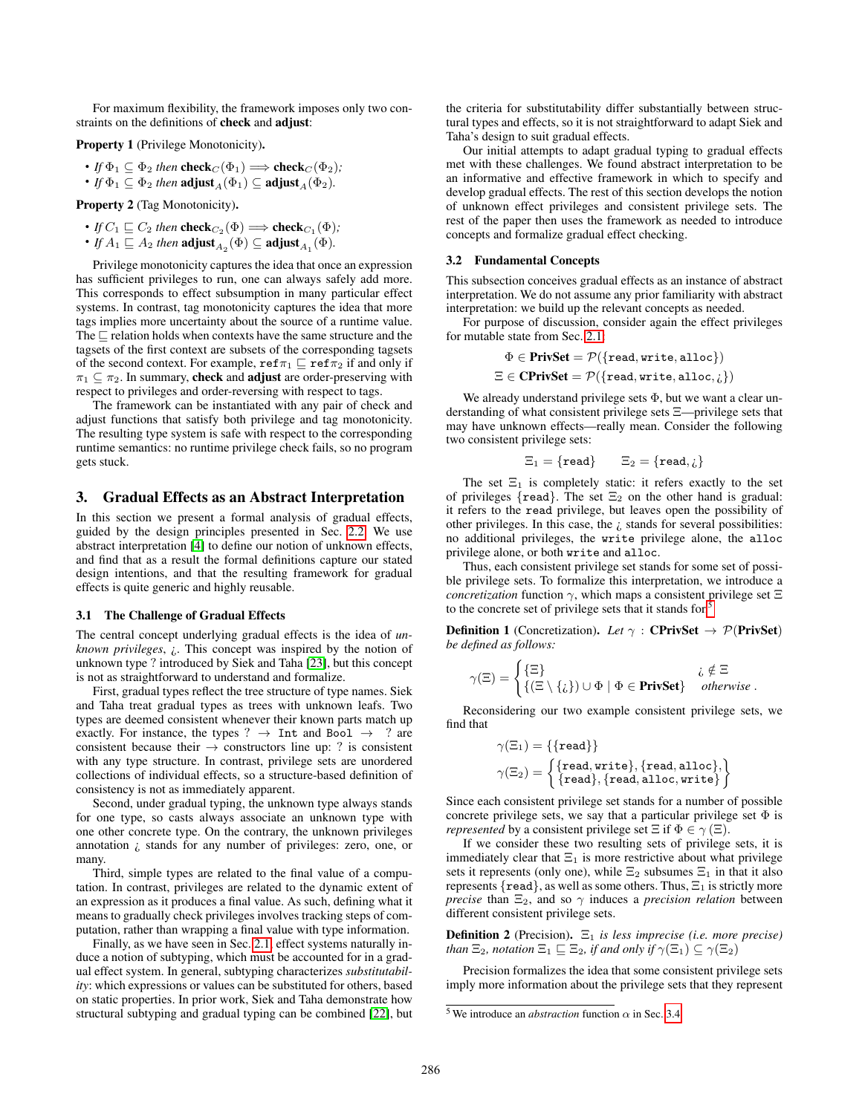For maximum flexibility, the framework imposes only two constraints on the definitions of check and adjust:

Property 1 (Privilege Monotonicity).

- *If*  $\Phi_1 \subseteq \Phi_2$  *then* **check** $_C(\Phi_1) \Longrightarrow$  **check** $_C(\Phi_2)$ *;*
- *If*  $\Phi_1 \subseteq \Phi_2$  *then* adjust<sub>A</sub>( $\Phi_1$ )  $\subseteq$  adjust<sub>A</sub>( $\Phi_2$ ).

Property 2 (Tag Monotonicity).

- *If*  $C_1 \sqsubseteq C_2$  *then* **check**<sub>C<sub>2</sub></sub>( $\Phi$ )  $\Longrightarrow$  **check**<sub>C<sub>1</sub>( $\Phi$ );</sub>
- *If*  $A_1 \sqsubseteq A_2$  *then* **adjust**<sub> $A_2$ </sub>( $\Phi$ )  $\subseteq$  **adjust**<sub> $A_1$ </sub>( $\Phi$ ).

Privilege monotonicity captures the idea that once an expression has sufficient privileges to run, one can always safely add more. This corresponds to effect subsumption in many particular effect systems. In contrast, tag monotonicity captures the idea that more tags implies more uncertainty about the source of a runtime value. The  $\Box$  relation holds when contexts have the same structure and the tagsets of the first context are subsets of the corresponding tagsets of the second context. For example,  $\texttt{ref}\pi_1 \sqsubseteq \texttt{ref}\pi_2$  if and only if  $\pi_1 \subseteq \pi_2$ . In summary, check and adjust are order-preserving with respect to privileges and order-reversing with respect to tags.

The framework can be instantiated with any pair of check and adjust functions that satisfy both privilege and tag monotonicity. The resulting type system is safe with respect to the corresponding runtime semantics: no runtime privilege check fails, so no program gets stuck.

## <span id="page-3-1"></span>3. Gradual Effects as an Abstract Interpretation

In this section we present a formal analysis of gradual effects, guided by the design principles presented in Sec. [2.2.](#page-1-1) We use abstract interpretation [\[4\]](#page-12-11) to define our notion of unknown effects, and find that as a result the formal definitions capture our stated design intentions, and that the resulting framework for gradual effects is quite generic and highly reusable.

#### 3.1 The Challenge of Gradual Effects

The central concept underlying gradual effects is the idea of *unknown privileges*, ¿. This concept was inspired by the notion of unknown type ? introduced by Siek and Taha [\[23\]](#page-12-7), but this concept is not as straightforward to understand and formalize.

First, gradual types reflect the tree structure of type names. Siek and Taha treat gradual types as trees with unknown leafs. Two types are deemed consistent whenever their known parts match up exactly. For instance, the types ?  $\rightarrow$  Int and Bool  $\rightarrow$  ? are consistent because their  $\rightarrow$  constructors line up: ? is consistent with any type structure. In contrast, privilege sets are unordered collections of individual effects, so a structure-based definition of consistency is not as immediately apparent.

Second, under gradual typing, the unknown type always stands for one type, so casts always associate an unknown type with one other concrete type. On the contrary, the unknown privileges annotation ¿ stands for any number of privileges: zero, one, or many.

Third, simple types are related to the final value of a computation. In contrast, privileges are related to the dynamic extent of an expression as it produces a final value. As such, defining what it means to gradually check privileges involves tracking steps of computation, rather than wrapping a final value with type information.

Finally, as we have seen in Sec. [2.1,](#page-1-0) effect systems naturally induce a notion of subtyping, which must be accounted for in a gradual effect system. In general, subtyping characterizes *substitutability*: which expressions or values can be substituted for others, based on static properties. In prior work, Siek and Taha demonstrate how structural subtyping and gradual typing can be combined [\[22\]](#page-12-6), but the criteria for substitutability differ substantially between structural types and effects, so it is not straightforward to adapt Siek and Taha's design to suit gradual effects.

Our initial attempts to adapt gradual typing to gradual effects met with these challenges. We found abstract interpretation to be an informative and effective framework in which to specify and develop gradual effects. The rest of this section develops the notion of unknown effect privileges and consistent privilege sets. The rest of the paper then uses the framework as needed to introduce concepts and formalize gradual effect checking.

## 3.2 Fundamental Concepts

This subsection conceives gradual effects as an instance of abstract interpretation. We do not assume any prior familiarity with abstract interpretation: we build up the relevant concepts as needed.

For purpose of discussion, consider again the effect privileges for mutable state from Sec. [2.1:](#page-1-0)

$$
\Phi \in \text{PrivSet} = \mathcal{P}(\{\text{read}, \text{write}, \text{alloc}\}) \\ \Xi \in \text{CFrivSet} = \mathcal{P}(\{\text{read}, \text{write}, \text{alloc}, \text{ }})\)
$$

We already understand privilege sets  $\Phi$ , but we want a clear understanding of what consistent privilege sets Ξ—privilege sets that may have unknown effects—really mean. Consider the following two consistent privilege sets:

$$
\Xi_1 = \{{\tt read}\} \qquad \Xi_2 = \{{\tt read}, \c \}
$$

The set  $\Xi_1$  is completely static: it refers exactly to the set of privileges {read}. The set  $\Xi_2$  on the other hand is gradual: it refers to the read privilege, but leaves open the possibility of other privileges. In this case, the  $i$  stands for several possibilities: no additional privileges, the write privilege alone, the alloc privilege alone, or both write and alloc.

Thus, each consistent privilege set stands for some set of possible privilege sets. To formalize this interpretation, we introduce a *concretization* function  $\gamma$ , which maps a consistent privilege set  $\Xi$ to the concrete set of privilege sets that it stands for.

**Definition 1** (Concretization). *Let*  $\gamma$  : **CPrivSet**  $\rightarrow$  *P*(**PrivSet**) *be defined as follows:*

$$
\gamma(\Xi) = \begin{cases} \{\Xi\} & \text{if } \xi \in \Xi \\ \{(\Xi \setminus \{i\}) \cup \Phi \mid \Phi \in \text{PrivSet}\} & otherwise \end{cases}.
$$

Reconsidering our two example consistent privilege sets, we find that

$$
\gamma(\Xi_1) = \{\{\texttt{read}\}\}\newline \gamma(\Xi_2) = \left\{\{\texttt{read}, \texttt{write}\}, \{\texttt{read}, \texttt{alloc}\}, \right\} \newline \texttt{read}, \{\texttt{read}, \texttt{alloc}, \texttt{write}\}\right\}
$$

Since each consistent privilege set stands for a number of possible concrete privilege sets, we say that a particular privilege set  $\Phi$  is *represented* by a consistent privilege set  $\Xi$  if  $\Phi \in \gamma(\Xi)$ .

If we consider these two resulting sets of privilege sets, it is immediately clear that  $\Xi_1$  is more restrictive about what privilege sets it represents (only one), while  $\Xi_2$  subsumes  $\Xi_1$  in that it also represents  $\{read\}$ , as well as some others. Thus,  $\Xi_1$  is strictly more *precise* than  $\Xi_2$ , and so  $\gamma$  induces a *precision relation* between different consistent privilege sets.

Definition 2 (Precision). Ξ<sup>1</sup> *is less imprecise (i.e. more precise) than*  $\Xi_2$ *, notation*  $\Xi_1 \sqsubseteq \Xi_2$ *, if and only if*  $\gamma(\Xi_1) \subseteq \gamma(\Xi_2)$ 

Precision formalizes the idea that some consistent privilege sets imply more information about the privilege sets that they represent

<span id="page-3-0"></span><sup>&</sup>lt;sup>5</sup> We introduce an *abstraction* function  $\alpha$  in Sec. [3.4](#page-4-0)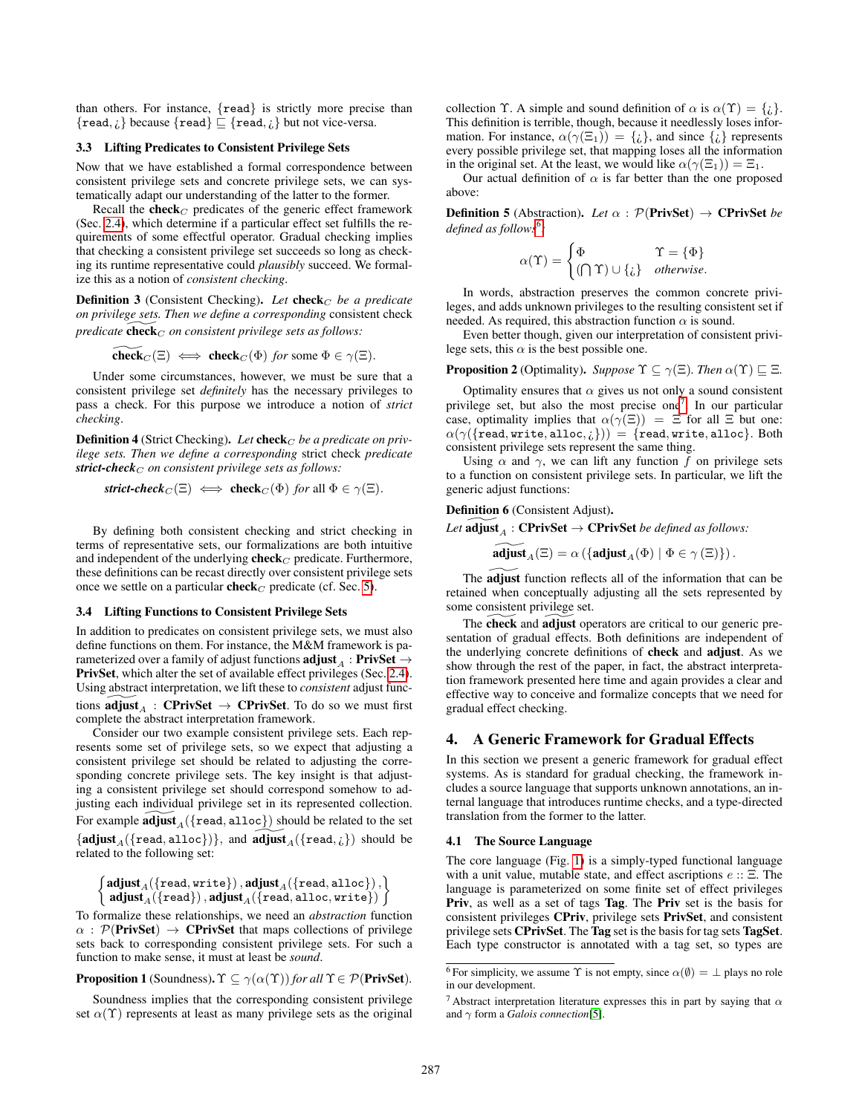than others. For instance, {read} is strictly more precise than {read,  $i$ } because {read}  $\subseteq$  {read,  $i$ } but not vice-versa.

## <span id="page-4-3"></span>3.3 Lifting Predicates to Consistent Privilege Sets

Now that we have established a formal correspondence between consistent privilege sets and concrete privilege sets, we can systematically adapt our understanding of the latter to the former.

Recall the  $check_C$  predicates of the generic effect framework (Sec. [2.4\)](#page-2-3), which determine if a particular effect set fulfills the requirements of some effectful operator. Gradual checking implies that checking a consistent privilege set succeeds so long as checking its runtime representative could *plausibly* succeed. We formalize this as a notion of *consistent checking*.

**Definition 3** (Consistent Checking). Let check<sub>C</sub> be a predicate *on privilege sets. Then we define a corresponding* consistent check *predicate* **check** $_C$  *on consistent privilege sets as follows:* 

$$
\widetilde{\mathbf{check}}_C(\Xi) \iff \mathbf{check}_C(\Phi) \text{ for some } \Phi \in \gamma(\Xi).
$$

Under some circumstances, however, we must be sure that a consistent privilege set *definitely* has the necessary privileges to pass a check. For this purpose we introduce a notion of *strict checking*.

<span id="page-4-4"></span>**Definition 4** (Strict Checking). Let check<sub>C</sub> be a predicate on priv*ilege sets. Then we define a corresponding* strict check *predicate strict-check<sub>C</sub> on consistent privilege sets as follows:* 

$$
strict\text{-}check_C(\Xi) \iff \text{check}_C(\Phi) \text{ for all } \Phi \in \gamma(\Xi).
$$

By defining both consistent checking and strict checking in terms of representative sets, our formalizations are both intuitive and independent of the underlying  $check_C$  predicate. Furthermore, these definitions can be recast directly over consistent privilege sets once we settle on a particular **check** $_C$  predicate (cf. Sec. [5\)](#page-9-0).

#### <span id="page-4-0"></span>3.4 Lifting Functions to Consistent Privilege Sets

In addition to predicates on consistent privilege sets, we must also define functions on them. For instance, the M&M framework is parameterized over a family of adjust functions **adjust**  $\rightarrow$ PrivSet, which alter the set of available effect privileges (Sec. [2.4\)](#page-2-3). Using abstract interpretation, we lift these to *consistent* adjust functions  $\text{adjust}_{A}$  : CPrivSet  $\rightarrow$  CPrivSet. To do so we must first complete the abstract interpretation framework.

Consider our two example consistent privilege sets. Each represents some set of privilege sets, so we expect that adjusting a consistent privilege set should be related to adjusting the corresponding concrete privilege sets. The key insight is that adjusting a consistent privilege set should correspond somehow to adjusting each individual privilege set in its represented collection. For example  $\text{adjust}_{A}({\text{read}, \text{alloc}})$  should be related to the set {adjust<sub>4</sub>({read, alloc})}, and adjust<sub>4</sub>({read,  $\lambda$ }) should be related to the following set:

$$
\begin{array}{l} \left\{\text{adjust}_A(\{\text{read}, \text{write}\}), \text{adjust}_A(\{\text{read}, \text{alloc}\}), \right. \\ \left\{\ \text{adjust}_A(\{\text{read}\}), \text{adjust}_A(\{\text{read}, \text{alloc}, \text{write}\}) \right\} \end{array}
$$

To formalize these relationships, we need an *abstraction* function  $\alpha$  : P(PrivSet)  $\rightarrow$  CPrivSet that maps collections of privilege sets back to corresponding consistent privilege sets. For such a function to make sense, it must at least be *sound*.

**Proposition 1** (Soundness).  $\Upsilon \subseteq \gamma(\alpha(\Upsilon))$  *for all*  $\Upsilon \in \mathcal{P}$  (**PrivSet**).

Soundness implies that the corresponding consistent privilege set  $\alpha(\Upsilon)$  represents at least as many privilege sets as the original collection  $\Upsilon$ . A simple and sound definition of  $\alpha$  is  $\alpha(\Upsilon) = \{\zeta\}.$ This definition is terrible, though, because it needlessly loses information. For instance,  $\alpha(\gamma(\Xi_1)) = {\iota \atop \xi}$ , and since  ${\iota \atop \xi}$  represents every possible privilege set, that mapping loses all the information in the original set. At the least, we would like  $\alpha(\gamma(\Xi_1)) = \Xi_1$ .

Our actual definition of  $\alpha$  is far better than the one proposed above:

**Definition 5** (Abstraction). *Let*  $\alpha$  :  $\mathcal{P}(\text{PrivSet}) \rightarrow \text{CPrivSet } be$ *defined as follows*[6](#page-4-1) *:*

$$
\alpha(\Upsilon) = \begin{cases} \Phi & \Upsilon = \{\Phi\} \\ (\bigcap \Upsilon) \cup \{\iota\} & otherwise. \end{cases}
$$

In words, abstraction preserves the common concrete privileges, and adds unknown privileges to the resulting consistent set if needed. As required, this abstraction function  $\alpha$  is sound.

Even better though, given our interpretation of consistent privilege sets, this  $\alpha$  is the best possible one.

**Proposition 2** (Optimality). *Suppose*  $\Upsilon \subseteq \gamma(\Xi)$ *. Then*  $\alpha(\Upsilon) \sqsubseteq \Xi$ *.* 

Optimality ensures that  $\alpha$  gives us not only a sound consistent privilege set, but also the most precise one<sup>[7](#page-4-2)</sup>. In our particular case, optimality implies that  $\alpha(\gamma(\Xi)) = \Xi$  for all  $\Xi$  but one:  $\alpha(\gamma({\tt read}, \mathtt{write}, \mathtt{alloc}, \iota)) = {\tt read}, \mathtt{write}, \mathtt{alloc}}$ . Both consistent privilege sets represent the same thing.

Using  $\alpha$  and  $\gamma$ , we can lift any function f on privilege sets to a function on consistent privilege sets. In particular, we lift the generic adjust functions:

## Definition 6 (Consistent Adjust).

*Let*  $\text{adjust}_{A}$  : CPrivSet  $\rightarrow$  CPrivSet *be defined as follows:* 

$$
\widetilde{\textbf{adjust}}_A(\Xi)=\alpha\left(\{\textbf{adjust}_A(\Phi)\mid \Phi\in\gamma\left(\Xi\right)\}\right).
$$

The adjust function reflects all of the information that can be retained when conceptually adjusting all the sets represented by some consistent privilege set.

The check and adjust operators are critical to our generic presentation of gradual effects. Both definitions are independent of the underlying concrete definitions of check and adjust. As we show through the rest of the paper, in fact, the abstract interpretation framework presented here time and again provides a clear and effective way to conceive and formalize concepts that we need for gradual effect checking.

## 4. A Generic Framework for Gradual Effects

In this section we present a generic framework for gradual effect systems. As is standard for gradual checking, the framework includes a source language that supports unknown annotations, an internal language that introduces runtime checks, and a type-directed translation from the former to the latter.

#### 4.1 The Source Language

The core language (Fig. [1\)](#page-5-0) is a simply-typed functional language with a unit value, mutable state, and effect ascriptions  $e$  ::  $\Xi$ . The language is parameterized on some finite set of effect privileges Priv, as well as a set of tags Tag. The Priv set is the basis for consistent privileges CPriv, privilege sets PrivSet, and consistent privilege sets CPrivSet. The Tag set is the basis for tag sets TagSet. Each type constructor is annotated with a tag set, so types are

<span id="page-4-1"></span><sup>&</sup>lt;sup>6</sup> For simplicity, we assume  $\Upsilon$  is not empty, since  $\alpha(\emptyset) = \bot$  plays no role in our development.

<span id="page-4-2"></span><sup>&</sup>lt;sup>7</sup> Abstract interpretation literature expresses this in part by saying that  $\alpha$ and γ form a *Galois connection*[\[5\]](#page-12-17).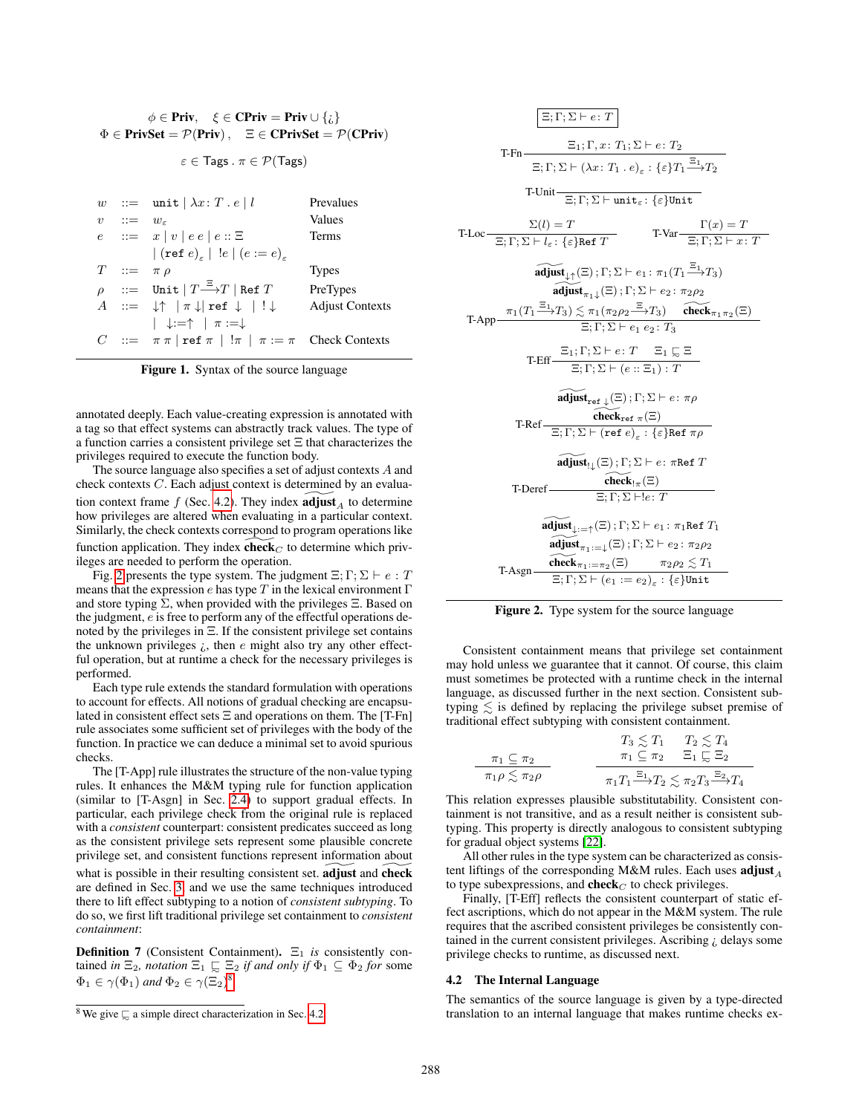$\phi \in$  Priv,  $\xi \in$  CPriv = Priv  $\cup \{\iota\}$  $\Phi \in$  PrivSet =  $\mathcal{P}(\text{Priv})$ ,  $\Xi \in$  CPrivSet =  $\mathcal{P}(\text{CPriv})$ 

$$
\varepsilon \in \mathsf{Tags}\,.\, \pi \in \mathcal{P}(\mathsf{Tags})
$$

|                  |                                 | w ::= $\text{unit}   \lambda x : T \cdot e   l$                                                              | Prevalues              |
|------------------|---------------------------------|--------------------------------------------------------------------------------------------------------------|------------------------|
| $\boldsymbol{v}$ | $\therefore = w_{\varepsilon}$  |                                                                                                              | Values                 |
|                  |                                 | $e$ ::= $x   v   e e   e$ :: $\Xi$                                                                           | Terms                  |
|                  |                                 | $ (\text{ref }e)_{\varepsilon}  \leq  (e:=e)_{\varepsilon} $                                                 |                        |
|                  | $T \quad ::= \quad \pi \; \rho$ |                                                                                                              | <b>Types</b>           |
|                  |                                 | $\rho$ ::= Unit $T \stackrel{\Xi}{\longrightarrow} T$ Ref $T$                                                | PreTypes               |
|                  |                                 | $A \ ::= \ \ \downarrow \uparrow \  \ \pi \downarrow \mid \text{ref} \ \downarrow \   \ \vdots \ \downarrow$ | <b>Adjust Contexts</b> |
|                  |                                 | $ \downarrow:=\uparrow $ $\pi:=\downarrow$                                                                   |                        |
|                  |                                 | C ::= $\pi \pi$   ref $\pi$   $!\pi$   $\pi := \pi$ Check Contexts                                           |                        |

<span id="page-5-0"></span>Figure 1. Syntax of the source language

annotated deeply. Each value-creating expression is annotated with a tag so that effect systems can abstractly track values. The type of a function carries a consistent privilege set Ξ that characterizes the privileges required to execute the function body.

The source language also specifies a set of adjust contexts A and check contexts C. Each adjust context is determined by an evaluation context frame  $f$  (Sec. [4.2\)](#page-5-1). They index **adjust**<sub>A</sub> to determine how privileges are altered when evaluating in a particular context. Similarly, the check contexts correspond to program operations like function application. They index  $\mathbf{check}_C$  to determine which privileges are needed to perform the operation.

Fig. [2](#page-5-2) presents the type system. The judgment  $\Xi$ ;  $\Gamma$ ;  $\Sigma \vdash e : T$ means that the expression e has type T in the lexical environment  $\Gamma$ and store typing  $\Sigma$ , when provided with the privileges  $\Xi$ . Based on the judgment, e is free to perform any of the effectful operations denoted by the privileges in Ξ. If the consistent privilege set contains the unknown privileges  $\lambda$ , then e might also try any other effectful operation, but at runtime a check for the necessary privileges is performed.

Each type rule extends the standard formulation with operations to account for effects. All notions of gradual checking are encapsulated in consistent effect sets  $\Xi$  and operations on them. The [T-Fn] rule associates some sufficient set of privileges with the body of the function. In practice we can deduce a minimal set to avoid spurious checks.

The [T-App] rule illustrates the structure of the non-value typing rules. It enhances the M&M typing rule for function application (similar to [T-Asgn] in Sec. [2.4\)](#page-2-3) to support gradual effects. In particular, each privilege check from the original rule is replaced with a *consistent* counterpart: consistent predicates succeed as long as the consistent privilege sets represent some plausible concrete privilege set, and consistent functions represent information about

what is possible in their resulting consistent set. adjust and check are defined in Sec. [3,](#page-3-1) and we use the same techniques introduced there to lift effect subtyping to a notion of *consistent subtyping*. To do so, we first lift traditional privilege set containment to *consistent containment*:

Definition 7 (Consistent Containment).  $\Xi_1$  *is* consistently contained *in*  $\Xi_2$ , *notation*  $\Xi_1 \subseteq \Xi_2$  *if and only if*  $\Phi_1 \subseteq \Phi_2$  *for* some  $\Phi_1 \in \gamma(\Phi_1)$  and  $\Phi_2 \in \gamma(\Xi_2)^8$  $\Phi_2 \in \gamma(\Xi_2)^8$ .

$$
\boxed{\Xi; \Gamma; \Sigma \vdash e: T}
$$
\n
$$
\text{T-Fn} \quad \frac{\Xi_1; \Gamma, x: T_1; \Sigma \vdash e: T_2}{\Xi; \Gamma; \Sigma \vdash (\lambda x: T_1 \cdot e)_{\varepsilon} : \{\varepsilon\} T_1 \xrightarrow{\Xi} T_2}
$$
\n
$$
\text{T-Unit} \quad \frac{\Sigma(l) = T}{\Xi; \Gamma; \Sigma \vdash \text{unit}_{\varepsilon} : \{\varepsilon\} \text{Unit}}
$$
\n
$$
\text{T-Loc} \quad \frac{\Sigma(l) = T}{\Xi; \Gamma; \Sigma \vdash l_{\varepsilon} : \{\varepsilon\} \text{Ref } T} \quad \text{T-Var} \quad \frac{\Gamma(x) = T}{\Xi; \Gamma; \Sigma \vdash x: T}
$$
\n
$$
\text{adjust}_{\bot \uparrow}(\Xi); \Gamma; \Sigma \vdash e_1 : \pi_1 (T_1 \xrightarrow{\Xi} T_3)
$$
\n
$$
\text{adjust}_{\pi_1 \downarrow}(\Xi); \Gamma; \Sigma \vdash e_2 : \pi_2 \rho_2
$$
\n
$$
\text{T-App} \quad \frac{\pi_1 (T_1 \xrightarrow{\Xi} T_3) \le \pi_1 (\pi_2 \rho_2 \xrightarrow{\Xi} T_3)}{\Xi; \Gamma; \Sigma \vdash e_1 e_2 : T_3}
$$
\n
$$
\text{T-Eff} \quad \frac{\Xi_1; \Gamma; \Sigma \vdash e: T \quad \Xi_1 \sqsubseteq \Xi}{\Xi; \Gamma; \Sigma \vdash (e::\Xi_1): T}
$$
\n
$$
\text{adjust}_{\text{ref} \downarrow}(\Xi); \Gamma; \Sigma \vdash e: \pi \rho}
$$
\n
$$
\text{T-Ref} \quad \frac{\text{check}_{\text{ref}}}{\Xi; \Gamma; \Sigma \vdash (\text{ref } e)_{\varepsilon} : \{\varepsilon\} \text{Ref } \pi \rho}
$$
\n
$$
\text{adjust}_{\bot}(\Xi); \Gamma; \Sigma \vdash e: \pi \text{Ref } T
$$
\n
$$
\text{T-Der} \quad \frac{\text{check}_{\text{tr}}(\Xi)}{\Xi; \Gamma; \Sigma \vdash (e::\Xi_1): T} \quad \text{rel} \quad \pi \text{Ref } T}
$$
\n
$$
\text{align}_{\tau_1 \vdash \pi_1}(\Xi); \Gamma; \Sigma \
$$

<span id="page-5-2"></span>Figure 2. Type system for the source language

Consistent containment means that privilege set containment may hold unless we guarantee that it cannot. Of course, this claim must sometimes be protected with a runtime check in the internal language, as discussed further in the next section. Consistent subtyping  $\leq$  is defined by replacing the privilege subset premise of traditional effect subtyping with consistent containment.

|                                  | $T_3 \lesssim T_1$ $T_2 \lesssim T_4$                                                                      |
|----------------------------------|------------------------------------------------------------------------------------------------------------|
| $\pi_1 \subset \pi_2$            | $\pi_1 \subseteq \pi_2$ $\Xi_1 \sqsubseteq \Xi_2$                                                          |
| $\pi_1 \rho \lesssim \pi_2 \rho$ | $\pi_1 T_1 \stackrel{\Xi_1}{\longrightarrow} T_2 \lesssim \pi_2 T_3 \stackrel{\Xi_2}{\longrightarrow} T_4$ |

This relation expresses plausible substitutability. Consistent containment is not transitive, and as a result neither is consistent subtyping. This property is directly analogous to consistent subtyping for gradual object systems [\[22\]](#page-12-6).

All other rules in the type system can be characterized as consistent liftings of the corresponding M&M rules. Each uses  $\text{adjust}_{A}$ to type subexpressions, and check $C$  to check privileges.

Finally, [T-Eff] reflects the consistent counterpart of static effect ascriptions, which do not appear in the M&M system. The rule requires that the ascribed consistent privileges be consistently contained in the current consistent privileges. Ascribing  $\zeta$  delays some privilege checks to runtime, as discussed next.

#### <span id="page-5-1"></span>4.2 The Internal Language

The semantics of the source language is given by a type-directed translation to an internal language that makes runtime checks ex-

<span id="page-5-3"></span><sup>&</sup>lt;sup>8</sup>We give  $\subseteq$  a simple direct characterization in Sec. [4.2.](#page-5-1)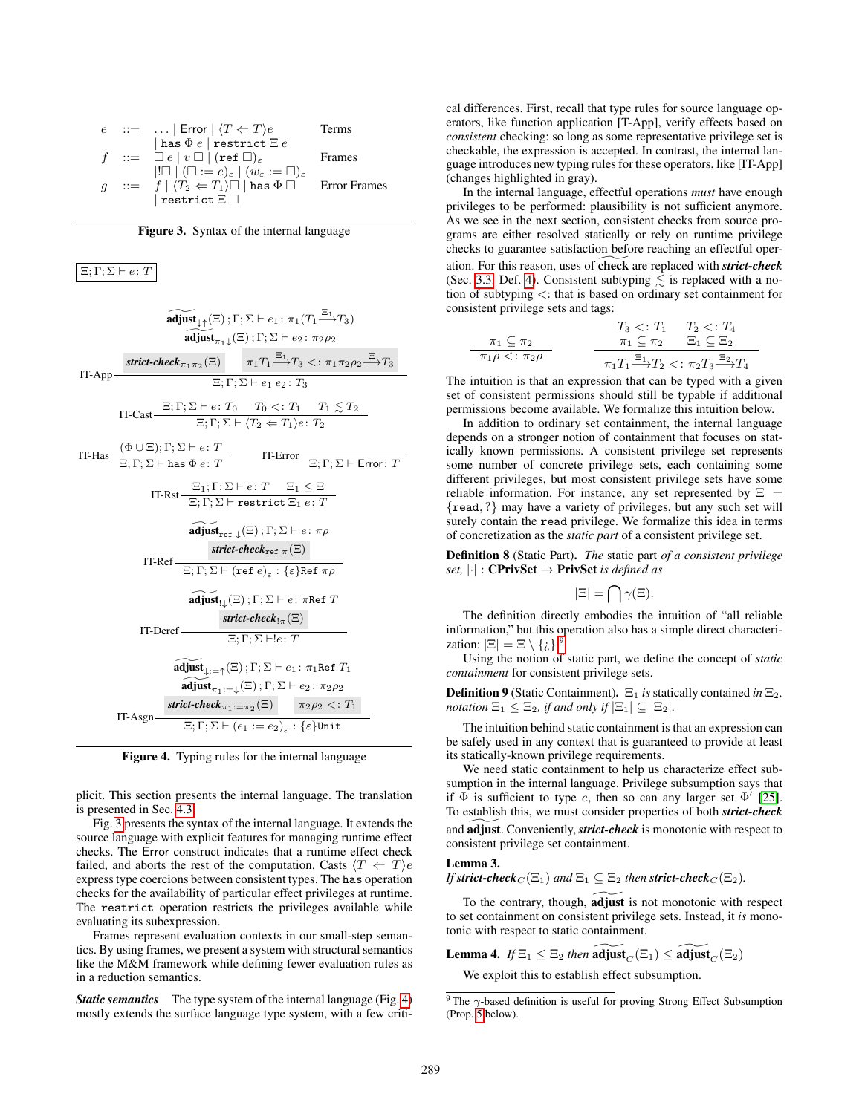$$
e ::= \dots | \text{ Error} | \langle T \Leftarrow T \rangle e \quad \text{Terms}
$$
\n
$$
f ::= \bigcup_{\square} e \mid v \square | (\text{ref } \square)_{\varepsilon} \quad \text{Frames}
$$
\n
$$
g ::= \bigcap_{\square} (\square := e)_{\varepsilon} | (w_{\varepsilon} := \square)_{\varepsilon}
$$
\n
$$
g ::= \bigcap_{\square} (\square := e)_{\varepsilon} | (w_{\varepsilon} := \square)_{\varepsilon} \quad \text{Error Frames}
$$
\n
$$
| \text{restrict } \Xi \square
$$

<span id="page-6-0"></span>

 $\Xi$ ; Γ; Σ  $\vdash e: T$ 

$$
\overbrace{\text{adjust}_{\downarrow\uparrow}(\Xi)};\Gamma;\Sigma\vdash e_1:\pi_1(T_1\xrightarrow{\Xi_1}T_3)
$$
\n
$$
\overbrace{\text{adjust}_{\pi_1\downarrow}(\Xi)};\Gamma;\Sigma\vdash e_2:\pi_2\rho_2
$$
\n
$$
\text{IT-App}\quad\overbrace{\Xi;\Gamma;\Sigma\vdash e_1\oplus \gamma_3\leq \ldots\pi_1\pi_2\rho_2\xrightarrow{\Xi_2}T_3}
$$
\n
$$
\Gamma\vdash \text{Cap}\quad\overbrace{\Xi;\Gamma;\Sigma\vdash e:\Gamma_0\quad T_0\leq:\Gamma_1\quad T_1\leq T_2}
$$
\n
$$
\text{IT-Cast}\quad\overbrace{\Xi;\Gamma;\Sigma\vdash e:\Gamma}\quad T_0\quad T_0\leq:\Gamma_1\quad T_1\leq T_2
$$
\n
$$
\text{IT-Has}\quad\overbrace{\Xi;\Gamma;\Sigma\vdash \text{has }\Phi e:\Gamma}\quad\text{IT-Error}\quad\overline{\Xi;\Gamma;\Sigma\vdash \text{Error}:\Gamma}
$$
\n
$$
\text{IT-Rst}\quad\overbrace{\Xi;\Gamma;\Sigma\vdash e:\Gamma}\quad\text{IT-Error}\quad\overline{\Xi;\Gamma;\Sigma\vdash \text{Error}:\Gamma}
$$
\n
$$
\text{allist}_{\text{ref}\downarrow}(\Xi);\Gamma;\Sigma\vdash e:\Gamma
$$
\n
$$
\text{allist}_{\text{ref}\downarrow}(\Xi);\Gamma;\Sigma\vdash e:\pi\rho
$$
\n
$$
\text{strict-check}_{\text{ref}\pi}(\Xi)
$$
\n
$$
\text{IT-Ref}\quad\overbrace{\Xi;\Gamma;\Sigma\vdash (\text{ref }e)_{\varepsilon}:\{\varepsilon\}\text{Ref }\pi\rho}
$$
\n
$$
\text{alljust}_{\text{t}\downarrow}(\Xi);\Gamma;\Sigma\vdash e:\pi\text{Ref }T
$$
\n
$$
\text{Isif}\quad\overbrace{\Xi;\Gamma;\Sigma\vdash e:\Gamma}\quad\text{and}\quad\overbrace{\Xi;\Gamma;\Sigma\vdash e:\Gamma}
$$
\n
$$
\text{alljust}_{\text{t}\downarrow\colon=\uparrow}(\Xi);\Gamma;\Sigma\vdash e:\pi_1\text{Ref }T_1
$$
\n
$$
\text{alljust}_{\text{t}\downarrow\colon=\uparrow}(\Xi);\Gamma;\Sigma\vdash e:\pi_2\rho_2
$$
\n<math display="</math>

<span id="page-6-1"></span>Figure 4. Typing rules for the internal language

plicit. This section presents the internal language. The translation is presented in Sec. [4.3.](#page-8-0)

Fig. [3](#page-6-0) presents the syntax of the internal language. It extends the source language with explicit features for managing runtime effect checks. The Error construct indicates that a runtime effect check failed, and aborts the rest of the computation. Casts  $\langle T \leftarrow T \rangle e$ express type coercions between consistent types. The has operation checks for the availability of particular effect privileges at runtime. The restrict operation restricts the privileges available while evaluating its subexpression.

Frames represent evaluation contexts in our small-step semantics. By using frames, we present a system with structural semantics like the M&M framework while defining fewer evaluation rules as in a reduction semantics.

*Static semantics* The type system of the internal language (Fig. [4\)](#page-6-1) mostly extends the surface language type system, with a few critical differences. First, recall that type rules for source language operators, like function application [T-App], verify effects based on *consistent* checking: so long as some representative privilege set is checkable, the expression is accepted. In contrast, the internal language introduces new typing rules for these operators, like [IT-App] (changes highlighted in gray).

In the internal language, effectful operations *must* have enough privileges to be performed: plausibility is not sufficient anymore. As we see in the next section, consistent checks from source programs are either resolved statically or rely on runtime privilege checks to guarantee satisfaction before reaching an effectful operation. For this reason, uses of check ^are replaced with *strict-check* (Sec. [3.3,](#page-4-3) Def. [4\)](#page-4-4). Consistent subtyping  $\leq$  is replaced with a notion of subtyping <: that is based on ordinary set containment for consistent privilege sets and tags:

|                                    |  | $T_3 \lt: T_1 \quad T_2 \lt: T_4$                                                                    |
|------------------------------------|--|------------------------------------------------------------------------------------------------------|
| $\pi_1 \subset \pi_2$              |  | $\pi_1 \subset \pi_2$ $\Xi_1 \subset \Xi_2$                                                          |
| $\pi_1 \rho \lt \colon \pi_2 \rho$ |  | $\pi_1 T_1 \stackrel{\Xi_1}{\longrightarrow} T_2 <: \pi_2 T_3 \stackrel{\Xi_2}{\longrightarrow} T_4$ |

The intuition is that an expression that can be typed with a given set of consistent permissions should still be typable if additional permissions become available. We formalize this intuition below.

In addition to ordinary set containment, the internal language depends on a stronger notion of containment that focuses on statically known permissions. A consistent privilege set represents some number of concrete privilege sets, each containing some different privileges, but most consistent privilege sets have some reliable information. For instance, any set represented by  $\Xi$  = {read, ?} may have a variety of privileges, but any such set will surely contain the read privilege. We formalize this idea in terms of concretization as the *static part* of a consistent privilege set.

Definition 8 (Static Part). *The* static part *of a consistent privilege set,*  $|\cdot|$  : **CPrivSet**  $\rightarrow$  **PrivSet** *is defined as* 

$$
|\Xi| = \bigcap \gamma(\Xi).
$$

The definition directly embodies the intuition of "all reliable information," but this operation also has a simple direct characterization:  $|\Xi| = \Xi \setminus \{i\}.$ [9](#page-6-2)

Using the notion of static part, we define the concept of *static containment* for consistent privilege sets.

**Definition 9** (Static Containment).  $\Xi_1$  *is* statically contained *in*  $\Xi_2$ , *notation*  $\Xi_1 \leq \Xi_2$ , *if and only if*  $|\Xi_1| \subseteq |\Xi_2|$ .

The intuition behind static containment is that an expression can be safely used in any context that is guaranteed to provide at least its statically-known privilege requirements.

We need static containment to help us characterize effect subsumption in the internal language. Privilege subsumption says that if  $\Phi$  is sufficient to type e, then so can any larger set  $\Phi'$  [\[25\]](#page-12-12). To establish this, we must consider properties of both *strict-check* and adjust. Conveniently, *strict-check* is monotonic with respect to consistent privilege set containment.

#### Lemma 3.

*If* strict-check<sub>C</sub>( $\Xi_1$ ) and  $\Xi_1 \subseteq \Xi_2$  then strict-check<sub>C</sub>( $\Xi_2$ ).

To the contrary, though, **adjust** is not monotonic with respect to set containment on consistent privilege sets. Instead, it *is* monotonic with respect to static containment.

**Lemma 4.** *If*  $\Xi_1 \leq \Xi_2$  *then* adjust  $_C (\Xi_1) \leq$  adjust  $_C (\Xi_2)$ 

We exploit this to establish effect subsumption.

<span id="page-6-2"></span><sup>&</sup>lt;sup>9</sup> The  $\gamma$ -based definition is useful for proving Strong Effect Subsumption (Prop. [5](#page-7-0) below).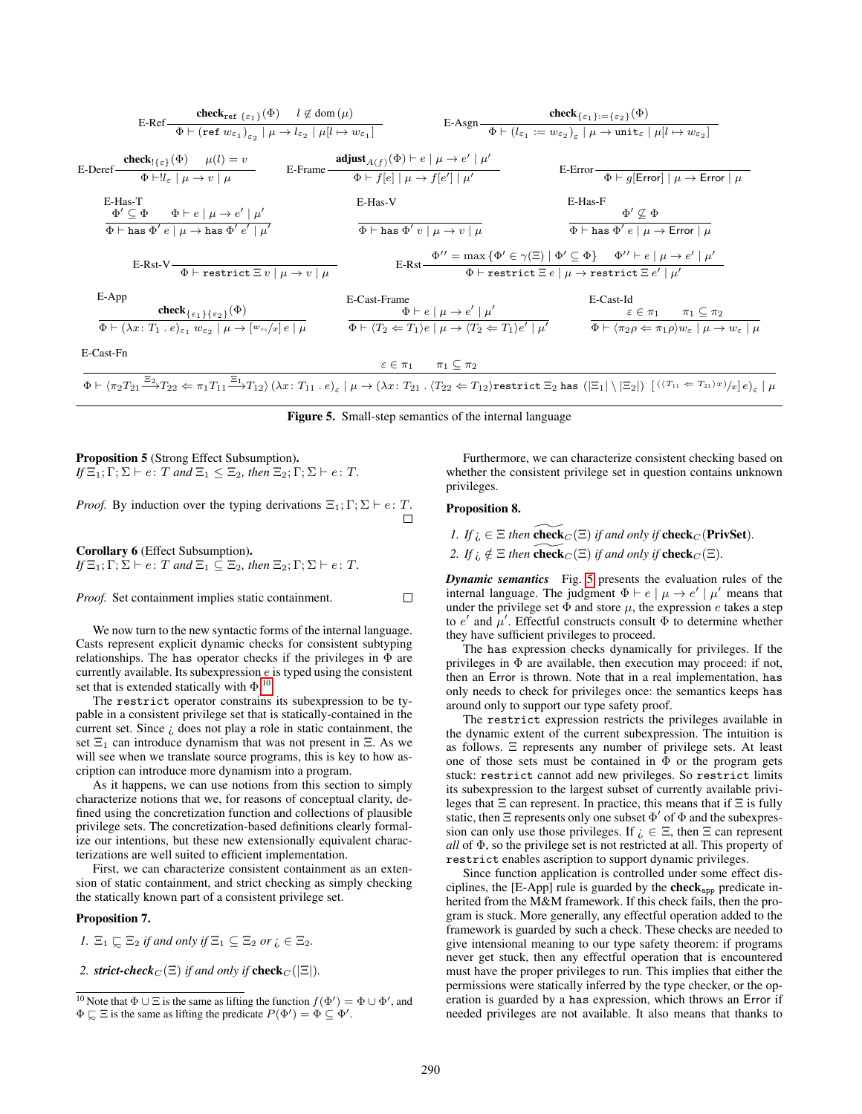| E-Ref $\frac{\text{check}_{\text{ref} }\{\varepsilon_1\}(\Phi) \quad l \notin \text{dom}(\mu)}{\Phi \vdash (\text{ref } w_{\varepsilon_1})_{\varepsilon_2} \mid \mu \to l_{\varepsilon_2} \mid \mu[l \mapsto w_{\varepsilon_1}]}$            |                                                             | E-Asgn $\frac{\text{check}_{\{\varepsilon_1\}:=\{\varepsilon_2\}}(\Phi)}{\Phi \vdash (l_{\varepsilon_1} := w_{\varepsilon_2})_{\varepsilon}   \mu \rightarrow \text{unit}_{\varepsilon}   \mu   l \mapsto w_{\varepsilon_2}}$                                                                                                                                                                                                                                                                                          |
|----------------------------------------------------------------------------------------------------------------------------------------------------------------------------------------------------------------------------------------------|-------------------------------------------------------------|------------------------------------------------------------------------------------------------------------------------------------------------------------------------------------------------------------------------------------------------------------------------------------------------------------------------------------------------------------------------------------------------------------------------------------------------------------------------------------------------------------------------|
|                                                                                                                                                                                                                                              |                                                             |                                                                                                                                                                                                                                                                                                                                                                                                                                                                                                                        |
| E-Deref <b>check</b> <sub>!{<math>\varepsilon</math>}</sub> ( $\Phi$ ) $\mu$ ( $l$ ) = v<br>E-Frame <b>adjust</b> <sub>A(f)</sub> ( $\Phi$ ) + e   $\mu \rightarrow e'$   $\mu'$<br>E-Frame $\Phi$ + f[e]   $\mu \rightarrow f[e']$   $\mu'$ |                                                             | E-Error $\boxed{\Phi \vdash q[\text{Error}] \mid \mu \to \text{Error} \mid \mu}$                                                                                                                                                                                                                                                                                                                                                                                                                                       |
| E-Has-T<br>$\Phi' \subseteq \Phi \qquad \Phi \vdash e \mid \mu \rightarrow e' \mid \mu'$                                                                                                                                                     | E-Has-V                                                     | E-Has-F<br>$\Phi' \not\subset \Phi$                                                                                                                                                                                                                                                                                                                                                                                                                                                                                    |
| $\Phi \vdash$ has $\overline{\Phi' e \mid \mu \to}$ has $\Phi' e' \mid \mu'$                                                                                                                                                                 | $\Phi \vdash$ has $\Phi' v \mid \mu \rightarrow v \mid \mu$ | $\Phi \vdash$ has $\Phi' e \mid \mu \rightarrow$ Error $\mid \mu$                                                                                                                                                                                                                                                                                                                                                                                                                                                      |
| E-Rst-V $\Phi$ + restrict $\Xi$ v   $\mu \rightarrow v$   $\mu$                                                                                                                                                                              |                                                             | E-Rst $\frac{\Phi'' = \max \{\Phi' \in \gamma(\Xi) \mid \Phi' \subseteq \Phi\}}{\Phi \vdash \text{restrict} \Xi \in  \mu \to \text{restrict} \Xi \in'  \mu' }$                                                                                                                                                                                                                                                                                                                                                         |
| E-App                                                                                                                                                                                                                                        | E-Cast-Frame                                                | E-Cast-Id                                                                                                                                                                                                                                                                                                                                                                                                                                                                                                              |
| check $\{\varepsilon_1\}$ { $\varepsilon_2$ } ( $\Phi$ )                                                                                                                                                                                     | $\Phi \vdash e \mid \mu \rightarrow e' \mid \mu'$           | $\varepsilon \in \pi_1 \quad \pi_1 \subseteq \pi_2$                                                                                                                                                                                                                                                                                                                                                                                                                                                                    |
| $\Phi \vdash (\lambda x \colon T_1 \cdot e)_{\varepsilon_1} w_{\varepsilon_2} \mid \mu \to [w_{\varepsilon_2}/x] \, e \mid \mu$                                                                                                              |                                                             | $\overline{\Phi} \vdash \langle T_2 \Leftarrow T_1 \rangle e \mid \mu \to \langle T_2 \Leftarrow T_1 \rangle e' \mid \mu' \qquad \overline{\Phi} \vdash \langle \pi_2 \rho \Leftarrow \pi_1 \rho \rangle w_{\varepsilon} \mid \mu \to w_{\varepsilon} \mid \mu'$                                                                                                                                                                                                                                                       |
| E-Cast-Fn                                                                                                                                                                                                                                    |                                                             |                                                                                                                                                                                                                                                                                                                                                                                                                                                                                                                        |
|                                                                                                                                                                                                                                              | $\varepsilon \in \pi_1 \qquad \pi_1 \subseteq \pi_2$        |                                                                                                                                                                                                                                                                                                                                                                                                                                                                                                                        |
|                                                                                                                                                                                                                                              |                                                             | $\Phi \vdash \langle \pi_2 T_{21} \xrightarrow{\Xi_2} T_{22} \Leftarrow \pi_1 T_{11} \xrightarrow{\Xi_1} T_{12} \rangle (\lambda x \colon T_{11} \cdot e)_{\varepsilon} \mid \mu \to (\lambda x \colon T_{21} \cdot \langle T_{22} \Leftarrow T_{12}) \text{restrict} \; \Xi_2 \text{ has } \left( \left  \Xi_1 \right  \setminus \left  \Xi_2 \right  \right) \; \left[ \left( \langle T_{11} \Leftarrow T_{21} \rangle x \rangle / x \right] e \right)_{\varepsilon} \mid \mu \to (\varepsilon_1 T_{11} \cdot e)_{\$ |

<span id="page-7-2"></span>Figure 5. Small-step semantics of the internal language

<span id="page-7-0"></span>Proposition 5 (Strong Effect Subsumption).  $If \Xi_1; \Gamma; \Sigma \vdash e : T \text{ and } \Xi_1 \leq \Xi_2 \text{, then } \Xi_2; \Gamma; \Sigma \vdash e : T.$ 

*Proof.* By induction over the typing derivations  $\Xi_1$ ;  $\Gamma$ ;  $\Sigma \vdash e$ : T.

Corollary 6 (Effect Subsumption).  $If \Xi_1; \Gamma; \Sigma \vdash e : T \text{ and } \Xi_1 \subseteq \Xi_2 \text{, then } \Xi_2; \Gamma; \Sigma \vdash e : T.$ 

 $\Box$ *Proof.* Set containment implies static containment.

We now turn to the new syntactic forms of the internal language. Casts represent explicit dynamic checks for consistent subtyping relationships. The has operator checks if the privileges in  $\Phi$  are currently available. Its subexpression  $e$  is typed using the consistent set that is extended statically with  $\Phi$ .<sup>[10](#page-7-1)</sup>

The restrict operator constrains its subexpression to be typable in a consistent privilege set that is statically-contained in the current set. Since  $\zeta$  does not play a role in static containment, the set  $\Xi_1$  can introduce dynamism that was not present in  $\Xi$ . As we will see when we translate source programs, this is key to how ascription can introduce more dynamism into a program.

As it happens, we can use notions from this section to simply characterize notions that we, for reasons of conceptual clarity, defined using the concretization function and collections of plausible privilege sets. The concretization-based definitions clearly formalize our intentions, but these new extensionally equivalent characterizations are well suited to efficient implementation.

First, we can characterize consistent containment as an extension of static containment, and strict checking as simply checking the statically known part of a consistent privilege set.

## Proposition 7.

*1.*  $\Xi_1 \sqsubseteq \Xi_2$  *if and only if*  $\Xi_1 \subseteq \Xi_2$  *or*  $\zeta \in \Xi_2$ *.* 

*2. strict-check* $_C(\Xi)$  *if and only if* **check** $_C(|\Xi|)$ *.* 

Furthermore, we can characterize consistent checking based on whether the consistent privilege set in question contains unknown privileges.

## Proposition 8.

1. If 
$$
i \in \Xi
$$
 then  $\widetilde{\text{check}}_C(\Xi)$  if and only if  $\text{check}_C(\text{PrivSet})$ .

*2. If*  $\iota \notin \Xi$  *then* **check** $C(\Xi)$  *if and only if* **check** $C(\Xi)$ *.* 

*Dynamic semantics* Fig. [5](#page-7-2) presents the evaluation rules of the internal language. The judgment  $\Phi \vdash e \mid \mu \rightarrow e' \mid \mu'$  means that under the privilege set  $\Phi$  and store  $\mu$ , the expression e takes a step to  $e'$  and  $\mu'$ . Effectful constructs consult  $\Phi$  to determine whether they have sufficient privileges to proceed.

The has expression checks dynamically for privileges. If the privileges in  $\Phi$  are available, then execution may proceed: if not, then an Error is thrown. Note that in a real implementation, has only needs to check for privileges once: the semantics keeps has around only to support our type safety proof.

The restrict expression restricts the privileges available in the dynamic extent of the current subexpression. The intuition is as follows. Ξ represents any number of privilege sets. At least one of those sets must be contained in  $\Phi$  or the program gets stuck: restrict cannot add new privileges. So restrict limits its subexpression to the largest subset of currently available privileges that  $\Xi$  can represent. In practice, this means that if  $\Xi$  is fully static, then  $\Xi$  represents only one subset  $\Phi'$  of  $\Phi$  and the subexpression can only use those privileges. If  $i \in \Xi$ , then  $\Xi$  can represent *all* of Φ, so the privilege set is not restricted at all. This property of restrict enables ascription to support dynamic privileges.

Since function application is controlled under some effect disciplines, the  $[E-App]$  rule is guarded by the  $check_{app}$  predicate inherited from the M&M framework. If this check fails, then the program is stuck. More generally, any effectful operation added to the framework is guarded by such a check. These checks are needed to give intensional meaning to our type safety theorem: if programs never get stuck, then any effectful operation that is encountered must have the proper privileges to run. This implies that either the permissions were statically inferred by the type checker, or the operation is guarded by a has expression, which throws an Error if needed privileges are not available. It also means that thanks to

<span id="page-7-1"></span><sup>&</sup>lt;sup>10</sup> Note that  $\Phi \cup \Xi$  is the same as lifting the function  $f(\Phi') = \Phi \cup \Phi'$ , and  $\Phi \subsetneq \Xi$  is the same as lifting the predicate  $P(\Phi') = \Phi \subseteq \Phi'$ .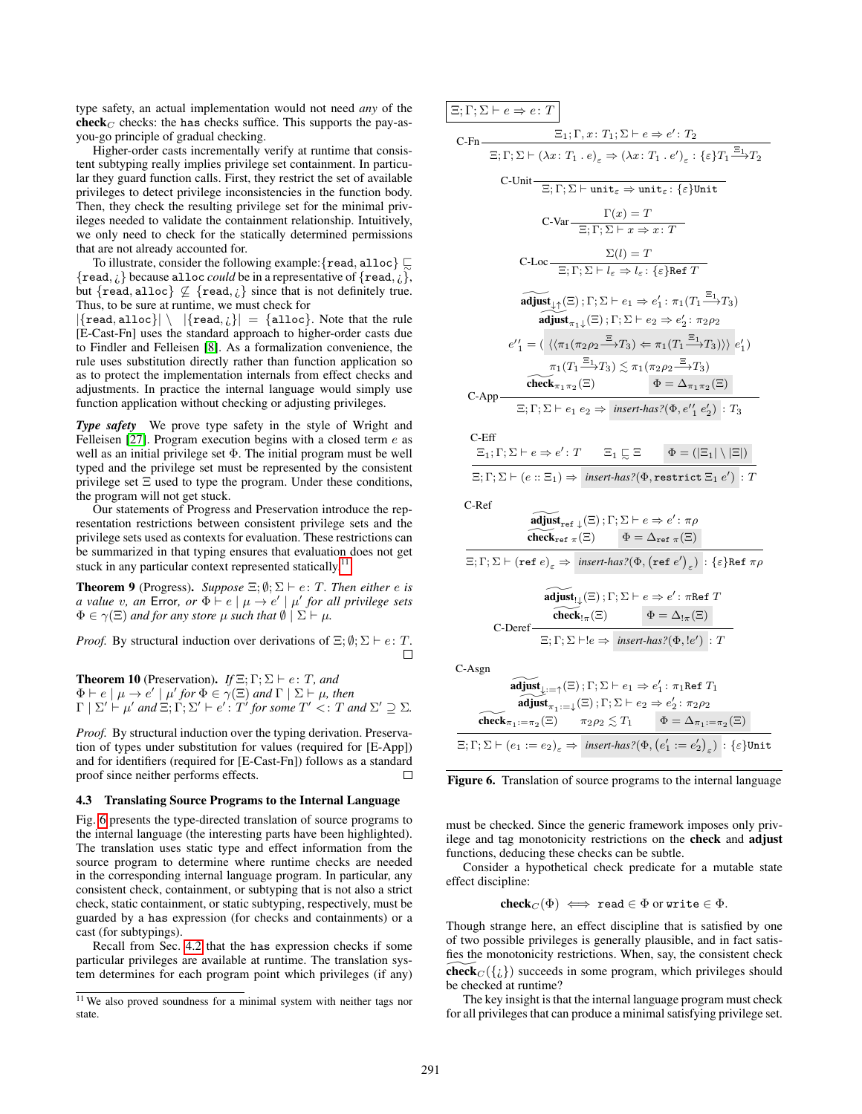type safety, an actual implementation would not need *any* of the  $\mathbf{check}_C$  checks: the has checks suffice. This supports the pay-asyou-go principle of gradual checking.

Higher-order casts incrementally verify at runtime that consistent subtyping really implies privilege set containment. In particular they guard function calls. First, they restrict the set of available privileges to detect privilege inconsistencies in the function body. Then, they check the resulting privilege set for the minimal privileges needed to validate the containment relationship. Intuitively, we only need to check for the statically determined permissions that are not already accounted for.

To illustrate, consider the following example:{read, alloc}  $\subseteq$  $\{read, i\}$  because alloc *could* be in a representative of  $\{read, i\}$ , but {read, alloc}  $\not\subseteq$  {read,  $\lambda$ } since that is not definitely true. Thus, to be sure at runtime, we must check for

 $|\{\texttt{read}, \texttt{alloc}\}| \setminus |\{\texttt{read}, \textcolor{red}{\dot{ \iota}}\}| = \{\texttt{alloc}\}.$  Note that the rule [E-Cast-Fn] uses the standard approach to higher-order casts due to Findler and Felleisen [\[8\]](#page-12-18). As a formalization convenience, the rule uses substitution directly rather than function application so as to protect the implementation internals from effect checks and adjustments. In practice the internal language would simply use function application without checking or adjusting privileges.

*Type safety* We prove type safety in the style of Wright and Felleisen [\[27\]](#page-12-19). Program execution begins with a closed term  $e$  as well as an initial privilege set Φ. The initial program must be well typed and the privilege set must be represented by the consistent privilege set  $\Xi$  used to type the program. Under these conditions, the program will not get stuck.

Our statements of Progress and Preservation introduce the representation restrictions between consistent privilege sets and the privilege sets used as contexts for evaluation. These restrictions can be summarized in that typing ensures that evaluation does not get stuck in any particular context represented statically.<sup>[11](#page-8-1)</sup>

**Theorem 9** (Progress). *Suppose*  $\Xi$ ;  $\emptyset$ ;  $\Sigma \vdash e$ : *T. Then either e is a value v, an* Error, *or*  $\Phi \vdash e \mid \mu \rightarrow e' \mid \mu'$  for all privilege sets  $\Phi \in \gamma(\Xi)$  *and for any store*  $\mu$  *such that*  $\emptyset \mid \Sigma \vdash \mu$ *.* 

*Proof.* By structural induction over derivations of  $\Xi$ ;  $\emptyset$ ;  $\Sigma \vdash e$ : T.  $\Box$ 

**Theorem 10** (Preservation). *If*  $\Xi$ ;  $\Gamma$ ;  $\Sigma \vdash e$ : *T*, and  $\Phi \vdash e \mid \mu \rightarrow e' \mid \mu'$  for  $\Phi \in \gamma(\Xi)$  and  $\Gamma \mid \Sigma \vdash \mu$ , then  $\Gamma \mid \Sigma' \vdash \mu'$  and  $\Xi$ ;  $\Gamma$ ;  $\Sigma' \vdash e'$ :  $T'$  for some  $T' <: T$  and  $\Sigma' \supseteq \Sigma$ .

*Proof.* By structural induction over the typing derivation. Preservation of types under substitution for values (required for [E-App]) and for identifiers (required for [E-Cast-Fn]) follows as a standard proof since neither performs effects. □

#### <span id="page-8-0"></span>4.3 Translating Source Programs to the Internal Language

Fig. [6](#page-8-2) presents the type-directed translation of source programs to the internal language (the interesting parts have been highlighted). The translation uses static type and effect information from the source program to determine where runtime checks are needed in the corresponding internal language program. In particular, any consistent check, containment, or subtyping that is not also a strict check, static containment, or static subtyping, respectively, must be guarded by a has expression (for checks and containments) or a cast (for subtypings).

Recall from Sec. [4.2](#page-5-1) that the has expression checks if some particular privileges are available at runtime. The translation system determines for each program point which privileges (if any)

| $\Xi; \Gamma; \Sigma \vdash e \Rightarrow e : T$                                                                                                                                                                                                                                            |
|---------------------------------------------------------------------------------------------------------------------------------------------------------------------------------------------------------------------------------------------------------------------------------------------|
| $\Xi_1;\Gamma,x\colon T_1;\Sigma\vdash e\Rightarrow e'\colon T_2$<br>$C-Fn$ —                                                                                                                                                                                                               |
| $\Xi ; \Gamma ; \Sigma \vdash (\lambda x \colon T_1 \ . \ e)_{\varepsilon} \Rightarrow (\lambda x \colon T_1 \ . \ e')_{\varepsilon} : \{ \varepsilon \} T_1 \displaystyle \mathop{\longrightarrow}^{\Xi_1} T_2$                                                                            |
| C-Unit $\overline{\Xi; \Gamma; \Sigma \vdash \text{unit}_{\varepsilon} \Rightarrow \text{unit}_{\varepsilon} : \{\varepsilon\} \text{Unit}}$                                                                                                                                                |
| $C\text{-}\text{Var}\frac{\Gamma(x) = T}{\Xi: \Gamma: \Sigma \vdash x \Rightarrow x: T}$                                                                                                                                                                                                    |
| C-Loc $\frac{\Sigma(l) = T}{\Xi; \Gamma; \Sigma \vdash l_{\varepsilon} \Rightarrow l_{\varepsilon} : \{\varepsilon\} \text{Ref } T}$                                                                                                                                                        |
| adjust <sub><math>\downarrow</math><math>\uparrow</math></sub> $(\Xi)$ ; $\Gamma$ ; $\Sigma \vdash e_1 \Rightarrow e'_1$ : $\pi_1(T_1 \xrightarrow{\Xi_1} T_3)$<br>adjust <sub><math>\pi_1 \downarrow (\Xi)</math></sub> ; $\Gamma$ ; $\Sigma \vdash e_2 \Rightarrow e'_2$ : $\pi_2 \rho_2$ |
| $e'_{1} = (\langle \langle \pi_1(\pi_2\rho_2 \overline{\rightharpoonup} T_3) \leftarrow \pi_1(T_1 \overline{\rightharpoonup} T_3) \rangle) e'_{1})$                                                                                                                                         |
| $\pi_1(T_1 \xrightarrow{\Xi_1} T_3) \lesssim \pi_1(\pi_2 \rho_2 \xrightarrow{\Xi} T_3)$<br>$\Phi = \overline{\Delta_{\pi_1 \pi_2}(\Xi)}$<br>check <sub><math>\pi_1</math></sub> $\pi_2$ ( $\Xi$ )<br>$C-App-$                                                                               |
| $\Xi; \Gamma; \Sigma \vdash e_1 \ e_2 \Rightarrow$ insert-has? $(\Phi, e_1' \ e_2') : T_3$                                                                                                                                                                                                  |
| $C$ -Eff<br>$\Xi_1;\Gamma;\Sigma\vdash e\Rightarrow e' : T \qquad \Xi_1\sqsubseteq \Xi$<br>$\Phi = ( \Xi_1  \setminus  \Xi )$                                                                                                                                                               |
| $\Xi; \Gamma; \Sigma \vdash (e :: \Xi_1) \Rightarrow$ insert-has?( $\Phi$ , restrict $\Xi_1 e'$ ) : T                                                                                                                                                                                       |
| C-Ref<br>adjust <sub>ref</sub> $_{\perp}(\Xi)$ ; $\Gamma$ ; $\Sigma \vdash e \Rightarrow e'$ : $\pi \rho$<br>check <sub>ref</sub> $\pi(\Xi)$ $\Phi = \Delta_{\text{ref}} \pi(\Xi)$                                                                                                          |
| $\Xi; \Gamma; \Sigma \vdash (\texttt{ref } e)_{\varepsilon} \Rightarrow \textit{insert-has?}(\Phi, (\texttt{ref } e')_{\varepsilon}) : \{\varepsilon\} \texttt{Ref } \pi \rho$                                                                                                              |
| adjust <sub>L</sub> $(\Xi)$ ; $\Gamma$ ; $\Sigma \vdash e \Rightarrow e'$ : $\pi$ Ref T<br>check $_{!\pi}(\Xi)$<br>$\Phi = \Delta_{!\pi}(\Xi)$<br>C-Deref-<br>$\Xi; \Gamma; \Sigma \vdash !e \Rightarrow \textit{insert-has?}(\Phi, !e') : T$                                               |
| C-Asgn                                                                                                                                                                                                                                                                                      |
| adjust <sub><math>\downarrow:=\uparrow(\Xi)</math></sub> ; $\Gamma; \Sigma \vdash e_1 \Rightarrow e_1': \pi_1 \text{Ref } T_1$<br>adjust <sub><math>\pi_1:={\downarrow}(\Xi)</math>; <math>\Gamma: \Sigma \vdash e_2 \Rightarrow e'_2: \pi_2 \rho_2</math></sub>                            |
| $\pi_2 \rho_2 \lesssim T_1$ $\Phi = \Delta_{\pi_1 := \pi_2} (\Xi)$<br>check $_{\pi_1:=\pi_2}(\Xi)$                                                                                                                                                                                          |
| $\Xi ; \Gamma ; \Sigma \vdash (e_1 := e_2)_\varepsilon \Rightarrow \textit{insert-has?} (\Phi, \big(e_1' := e_2'\big)_\varepsilon \,):\, \{\varepsilon\}$ Unit                                                                                                                              |
| Figure 6. Translation of source programs to the internal language                                                                                                                                                                                                                           |

<span id="page-8-2"></span>

must be checked. Since the generic framework imposes only privilege and tag monotonicity restrictions on the check and adjust functions, deducing these checks can be subtle.

Consider a hypothetical check predicate for a mutable state effect discipline:

$$
\mathop{\bf check}\nolimits_C(\Phi)\iff \mathop{\bf read}\nolimits\in \Phi \text{ or write}\in \Phi.
$$

Though strange here, an effect discipline that is satisfied by one of two possible privileges is generally plausible, and in fact satisfies the monotonicity restrictions. When, say, the consistent check **check** $C$ ({ $i$ }) succeeds in some program, which privileges should be checked at runtime?

The key insight is that the internal language program must check for all privileges that can produce a minimal satisfying privilege set.

<span id="page-8-1"></span><sup>&</sup>lt;sup>11</sup> We also proved soundness for a minimal system with neither tags nor state.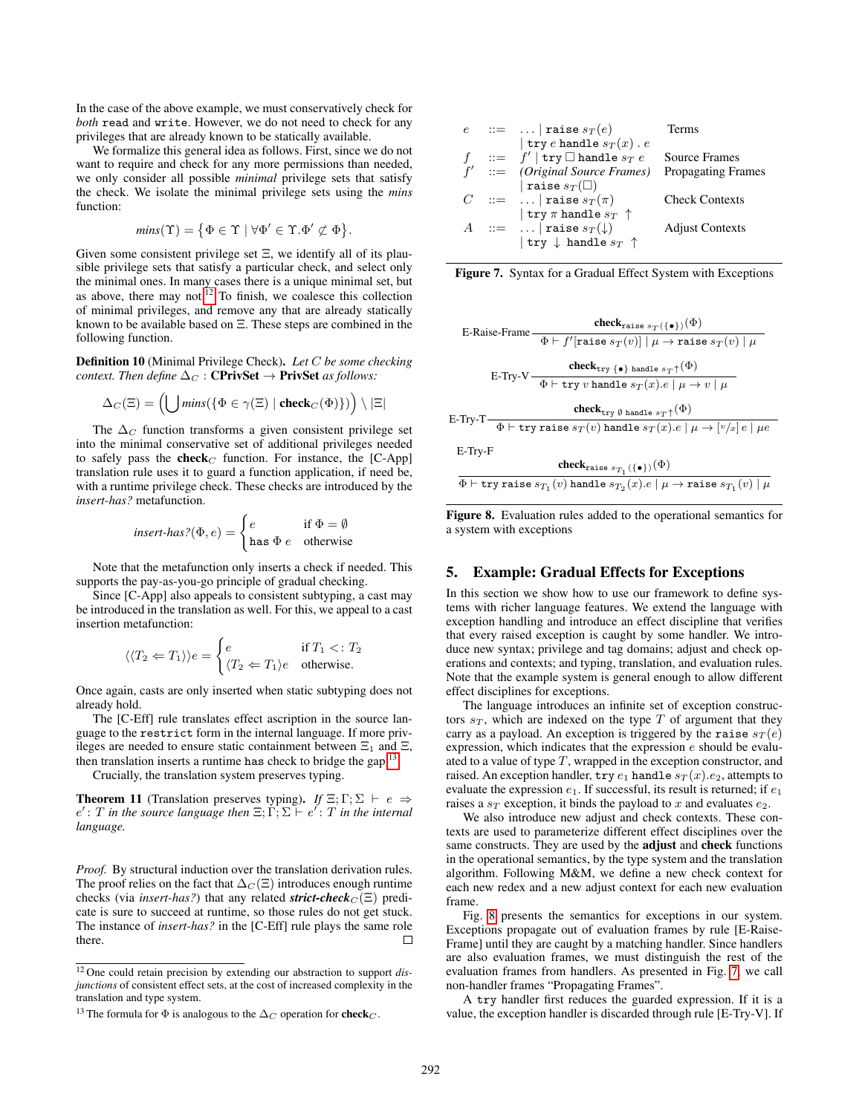In the case of the above example, we must conservatively check for *both* read and write. However, we do not need to check for any privileges that are already known to be statically available.

We formalize this general idea as follows. First, since we do not want to require and check for any more permissions than needed, we only consider all possible *minimal* privilege sets that satisfy the check. We isolate the minimal privilege sets using the *mins* function:

$$
minS(\Upsilon) = \{ \Phi \in \Upsilon \mid \forall \Phi' \in \Upsilon. \Phi' \not\subset \Phi \}.
$$

Given some consistent privilege set Ξ, we identify all of its plausible privilege sets that satisfy a particular check, and select only the minimal ones. In many cases there is a unique minimal set, but as above, there may not.<sup>[12](#page-9-1)</sup> To finish, we coalesce this collection of minimal privileges, and remove any that are already statically known to be available based on Ξ. These steps are combined in the following function.

Definition 10 (Minimal Privilege Check). *Let* C *be some checking context. Then define*  $\Delta_C$  : **CPrivSet**  $\rightarrow$  **PrivSet** *as follows:* 

$$
\Delta_C(\Xi) = \left(\bigcup \text{mins}(\{\Phi \in \gamma(\Xi) \mid \mathbf{check}_C(\Phi)\})\right) \setminus |\Xi|
$$

The  $\Delta_C$  function transforms a given consistent privilege set into the minimal conservative set of additional privileges needed to safely pass the **check** $_C$  function. For instance, the [C-App] translation rule uses it to guard a function application, if need be, with a runtime privilege check. These checks are introduced by the *insert-has?* metafunction.

$$
insert\text{-}has?(\Phi, e) = \begin{cases} e & \text{if } \Phi = \emptyset \\ \text{has } \Phi \ e & \text{otherwise} \end{cases}
$$

Note that the metafunction only inserts a check if needed. This supports the pay-as-you-go principle of gradual checking.

Since [C-App] also appeals to consistent subtyping, a cast may be introduced in the translation as well. For this, we appeal to a cast insertion metafunction:

$$
\langle \langle T_2 \leftarrow T_1 \rangle \rangle e = \begin{cases} e & \text{if } T_1 <: T_2 \\ \langle T_2 \leftarrow T_1 \rangle e & \text{otherwise.} \end{cases}
$$

Once again, casts are only inserted when static subtyping does not already hold.

The [C-Eff] rule translates effect ascription in the source language to the restrict form in the internal language. If more privileges are needed to ensure static containment between  $\Xi_1$  and  $\Xi$ , then translation inserts a runtime has check to bridge the gap.<sup>[13](#page-9-2)</sup>

Crucially, the translation system preserves typing.

**Theorem 11** (Translation preserves typing). *If*  $\Xi$ ;  $\Gamma$ ;  $\Sigma \vdash e \Rightarrow$  $e'$ : T in the source language then  $\Xi$ ;  $\Gamma$ ;  $\Sigma \vdash e'$ : T in the internal *language.*

*Proof.* By structural induction over the translation derivation rules. The proof relies on the fact that  $\Delta_C(\Xi)$  introduces enough runtime checks (via *insert-has?*) that any related *strict-check* $_C(\Xi)$  predicate is sure to succeed at runtime, so those rules do not get stuck. The instance of *insert-has?* in the [C-Eff] rule plays the same role there. П

|  | $e$ :=    raise $s_T(e)$                    | Terms                     |
|--|---------------------------------------------|---------------------------|
|  | try e handle $s_T(x)$ . e                   |                           |
|  | $\therefore$ f'   try $\Box$ handle $s_T e$ | Source Frames             |
|  | $f'$ ::= (Original Source Frames)           | <b>Propagating Frames</b> |
|  | raise $s_T(\Box)$                           |                           |
|  | $C$ :=    raise $s_T(\pi)$                  | <b>Check Contexts</b>     |
|  | try $\pi$ handle $s_T$ $\uparrow$           |                           |
|  | A ::=    raise $s_T(\downarrow)$            | <b>Adjust Contexts</b>    |
|  | try $\downarrow$ handle $s_T$ $\uparrow$    |                           |

<span id="page-9-4"></span>Figure 7. Syntax for a Gradual Effect System with Exceptions

$$
\text{E-Raise-Frame} \frac{\text{check}_{\text{raise } s_T(\{\bullet\})}(\Phi)}{\Phi \vdash f'[\text{raise } s_T(v)] \mid \mu \to \text{raise } s_T(v) \mid \mu}
$$

$$
\text{E-Try-V}\xrightarrow{\textbf{check}_{\textbf{try}}\ \{\bullet\}\ \text{handle}\ s_T\uparrow(\Phi)}\xrightarrow{\Phi\vdash\textbf{try}\ v\ \text{handle}\ s_T(x).e\mid\mu\rightarrow v\mid\mu}
$$

$$
\text{E-Try-T} \xrightarrow{\text{check}_{\text{try }\emptyset \text{ handle } s}} \text{Pr}(\Phi)
$$
\n
$$
\text{E-Try-T} \xrightarrow{\Phi \vdash \text{try raise } s} \text{Pr}(v) \text{ handle } s \text{Tr}(x).e \mid \mu \rightarrow [v/x] \text{ } e \mid \mu e
$$

E-Try-F

$$
\cfrac{\text{check}_{\text{raise }s_{T_1}}(\{\bullet\})}(\Phi)}{\Phi \vdash \texttt{try raise } s_{T_1}(v) \text{ handle } s_{T_2}(x).e \mid \mu \rightarrow \texttt{raise } s_{T_1}(v) \mid \mu}
$$

<span id="page-9-3"></span>Figure 8. Evaluation rules added to the operational semantics for a system with exceptions

## <span id="page-9-0"></span>5. Example: Gradual Effects for Exceptions

In this section we show how to use our framework to define systems with richer language features. We extend the language with exception handling and introduce an effect discipline that verifies that every raised exception is caught by some handler. We introduce new syntax; privilege and tag domains; adjust and check operations and contexts; and typing, translation, and evaluation rules. Note that the example system is general enough to allow different effect disciplines for exceptions.

The language introduces an infinite set of exception constructors  $s_T$ , which are indexed on the type  $T$  of argument that they carry as a payload. An exception is triggered by the raise  $s_T(e)$ expression, which indicates that the expression e should be evaluated to a value of type  $T$ , wrapped in the exception constructor, and raised. An exception handler,  $\text{try } e_1$  handle  $s_T(x)$ .e<sub>2</sub>, attempts to evaluate the expression  $e_1$ . If successful, its result is returned; if  $e_1$ raises a  $s_T$  exception, it binds the payload to x and evaluates  $e_2$ .

We also introduce new adjust and check contexts. These contexts are used to parameterize different effect disciplines over the same constructs. They are used by the **adjust** and **check** functions in the operational semantics, by the type system and the translation algorithm. Following M&M, we define a new check context for each new redex and a new adjust context for each new evaluation frame.

Fig. [8](#page-9-3) presents the semantics for exceptions in our system. Exceptions propagate out of evaluation frames by rule [E-Raise-Frame] until they are caught by a matching handler. Since handlers are also evaluation frames, we must distinguish the rest of the evaluation frames from handlers. As presented in Fig. [7,](#page-9-4) we call non-handler frames "Propagating Frames".

A try handler first reduces the guarded expression. If it is a value, the exception handler is discarded through rule [E-Try-V]. If

<span id="page-9-1"></span><sup>12</sup> One could retain precision by extending our abstraction to support *disjunctions* of consistent effect sets, at the cost of increased complexity in the translation and type system.

<span id="page-9-2"></span><sup>&</sup>lt;sup>13</sup> The formula for  $\Phi$  is analogous to the  $\Delta_C$  operation for **check** $_C$ .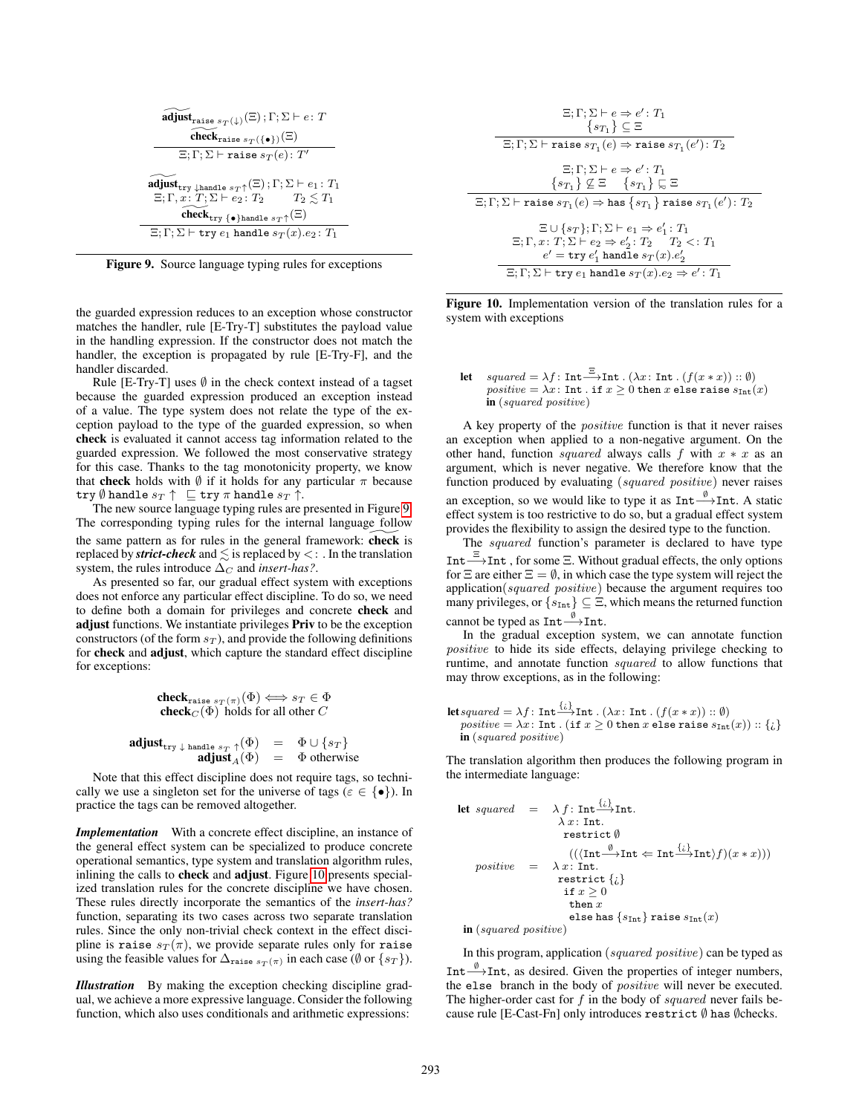| adjust <sub>raise</sub> $s_T(\downarrow)(\Xi)$ ; $\Gamma$ ; $\Sigma \vdash e$ : T                                                                                                                                                                                     |
|-----------------------------------------------------------------------------------------------------------------------------------------------------------------------------------------------------------------------------------------------------------------------|
| check <sub>raise</sub> $s_T(\{\bullet\})^{(\Xi)}$                                                                                                                                                                                                                     |
| $\Xi$ ; $\Gamma$ ; $\Sigma$ $\vdash$ raise $s_T(e)$ : $T'$                                                                                                                                                                                                            |
| adjust <sub>try</sub> $\downarrow$ <sub>handle</sub> $s_T$ $(\Xi)$ ; $\Gamma$ ; $\Sigma \vdash e_1$ : $T_1$<br>$\Xi; \Gamma, x \colon T; \Sigma \vdash e_2 \colon T_2$ $T_2 \leq T_1$<br>$\mathrm{check}_{\mathrm{try}\ \{\bullet\}\mathrm{handle}\ s_T \gamma}(\Xi)$ |
| $\Xi$ ; $\Gamma$ ; $\Sigma$ $\vdash$ try $e_1$ handle $s_T(x).e_2$ : $T_1$                                                                                                                                                                                            |

<span id="page-10-0"></span>Figure 9. Source language typing rules for exceptions

the guarded expression reduces to an exception whose constructor matches the handler, rule [E-Try-T] substitutes the payload value in the handling expression. If the constructor does not match the handler, the exception is propagated by rule [E-Try-F], and the handler discarded.

Rule [E-Try-T] uses  $\emptyset$  in the check context instead of a tagset because the guarded expression produced an exception instead of a value. The type system does not relate the type of the exception payload to the type of the guarded expression, so when check is evaluated it cannot access tag information related to the guarded expression. We followed the most conservative strategy for this case. Thanks to the tag monotonicity property, we know that check holds with  $\emptyset$  if it holds for any particular  $\pi$  because try  $\emptyset$  handle  $s_T \uparrow \sqsubseteq$  try  $\pi$  handle  $s_T \uparrow$ .

The new source language typing rules are presented in Figure [9.](#page-10-0) The corresponding typing rules for the internal language follow the same pattern as for rules in the general framework: **check** is replaced by *strict-check* and  $\leq$  is replaced by  $\lt:$  . In the translation system, the rules introduce  $\Delta_C$  and *insert-has?*.

As presented so far, our gradual effect system with exceptions does not enforce any particular effect discipline. To do so, we need to define both a domain for privileges and concrete check and adjust functions. We instantiate privileges Priv to be the exception constructors (of the form  $s_T$ ), and provide the following definitions for check and adjust, which capture the standard effect discipline for exceptions:

**check**<sub>raise</sub> 
$$
s_T(\pi)(\Phi) \iff s_T \in \Phi
$$
  
**check**<sub>C</sub>( $\Phi$ ) holds for all other *C*  
**adjust**.

$$
\text{adjust}_{xy} \downarrow \text{ handle } s_T \uparrow (\Psi) = \Psi \cup \{ \sigma_T \} \n\text{adjust}_{A}(\Phi) = \Phi \text{ otherwise}
$$

Note that this effect discipline does not require tags, so technically we use a singleton set for the universe of tags ( $\varepsilon \in \{\bullet\}$ ). In practice the tags can be removed altogether.

*Implementation* With a concrete effect discipline, an instance of the general effect system can be specialized to produce concrete operational semantics, type system and translation algorithm rules, inlining the calls to check and adjust. Figure [10](#page-10-1) presents specialized translation rules for the concrete discipline we have chosen. These rules directly incorporate the semantics of the *insert-has?* function, separating its two cases across two separate translation rules. Since the only non-trivial check context in the effect discipline is raise  $s_T(\pi)$ , we provide separate rules only for raise using the feasible values for  $\Delta_{\text{raise}} s_T(\pi)$  in each case ( $\emptyset$  or  $\{s_T\}$ ).

*Illustration* By making the exception checking discipline gradual, we achieve a more expressive language. Consider the following function, which also uses conditionals and arithmetic expressions:

$$
\Xi; \Gamma; \Sigma \vdash e \Rightarrow e': T_1
$$
\n
$$
\{s_{T_1}\} \subseteq \Xi
$$
\n
$$
\overline{\Xi; \Gamma; \Sigma \vdash \text{raise } s_{T_1}(e) \Rightarrow \text{raise } s_{T_1}(e') : T_2}
$$
\n
$$
\Xi; \Gamma; \Sigma \vdash \text{raise } s_{T_1}(e) \Rightarrow \text{raise } s_{T_1}(e') : T_2
$$
\n
$$
\Xi; \Gamma; \Sigma \vdash e \Rightarrow e': T_1
$$
\n
$$
\{s_{T_1}\} \subseteq \Xi \quad \{s_{T_1}\} \subseteq \Xi
$$
\n
$$
\Xi; \Gamma; \Sigma \vdash \text{raise } s_{T_1}(e) \Rightarrow \text{has } \{s_{T_1}\} \text{raise } s_{T_1}(e') : T_2
$$
\n
$$
\Xi \cup \{s_{T}\}; \Gamma; \Sigma \vdash e_1 \Rightarrow e'_1 : T_1
$$
\n
$$
\Xi; \Gamma, x: T; \Sigma \vdash e_2 \Rightarrow e'_2 : T_2 \quad T_2 < : T_1
$$
\n
$$
e' = \text{try } e'_1 \text{ handle } s_T(x). e'_2
$$
\n
$$
\overline{\Xi; \Gamma; \Sigma \vdash \text{try } e_1 \text{ handle } s_T(x). e_2 \Rightarrow e': T_1}
$$

<span id="page-10-1"></span>

let  $square = \lambda f$ : Int  $\xrightarrow{\Xi}$ Int .  $(\lambda x:$  Int .  $(f(x * x)) :: \emptyset)$  $positive = \lambda x$ : Int. if  $x \geq 0$  then x else raise  $s_{\text{Int}}(x)$ in (squared positive)

A key property of the *positive* function is that it never raises an exception when applied to a non-negative argument. On the other hand, function squared always calls f with  $x \times x$  as an argument, which is never negative. We therefore know that the function produced by evaluating (squared positive) never raises an exception, so we would like to type it as  $Int_{\mathcal{O}}^{\emptyset}$  Int. A static effect system is too restrictive to do so, but a gradual effect system provides the flexibility to assign the desired type to the function.

The *squared* function's parameter is declared to have type Int <sup>Ξ</sup>−→Int , for some Ξ. Without gradual effects, the only options for  $\Xi$  are either  $\Xi = \emptyset$ , in which case the type system will reject the application(squared positive) because the argument requires too many privileges, or  $\{s_{\text{Int}}\}\subseteq \mathcal{Z}$ , which means the returned function cannot be typed as  $\text{Int}\overset{\emptyset}{\longrightarrow}\text{Int}.$ 

In the gradual exception system, we can annotate function positive to hide its side effects, delaying privilege checking to runtime, and annotate function squared to allow functions that may throw exceptions, as in the following:

let squared = 
$$
\lambda f
$$
: Int  $\overline{\lambda}$ Int. ( $\lambda x$ : Int. ( $f(x * x)$ ) ::  $\emptyset$ )  
positive =  $\lambda x$ : Int. (if  $x \ge 0$  then x else raise  $s_{\text{Int}}(x)$ ) :: {*i*}  
in (squared positive)

The translation algorithm then produces the following program in the intermediate language:

$$
\begin{array}{rcl} \textbf{let } squared & = & \lambda f: \texttt{Int} \xrightarrow{\{\lambda\}} \texttt{Int}.\\ & & \lambda \ x: \texttt{Int}.\end{array} \\ \textbf{restrict} \emptyset\\ \begin{array}{rcl} & ((\langle \texttt{Int} \xrightarrow{\emptyset} \texttt{Int} \Leftarrow \texttt{Int} \xrightarrow{\{\lambda\}} \texttt{Int} \rangle f)(x * x)))\\ & & \texttt{cost} \\ & & \texttt{restrict} \{\lambda\} \\ & & \texttt{if } x \geq 0 \\ & & \texttt{then } x \\ & & \texttt{else has} \ \{s_{\texttt{Int}}\} \ \texttt{raise } s_{\texttt{Int}}(x) \end{array}
$$

in (squared positive)

In this program, application (squared positive) can be typed as

Int  $\stackrel{\emptyset}{\longrightarrow}$ Int, as desired. Given the properties of integer numbers, the else branch in the body of *positive* will never be executed. The higher-order cast for  $f$  in the body of *squared* never fails because rule [E-Cast-Fn] only introduces restrict  $\emptyset$  has  $\emptyset$ checks.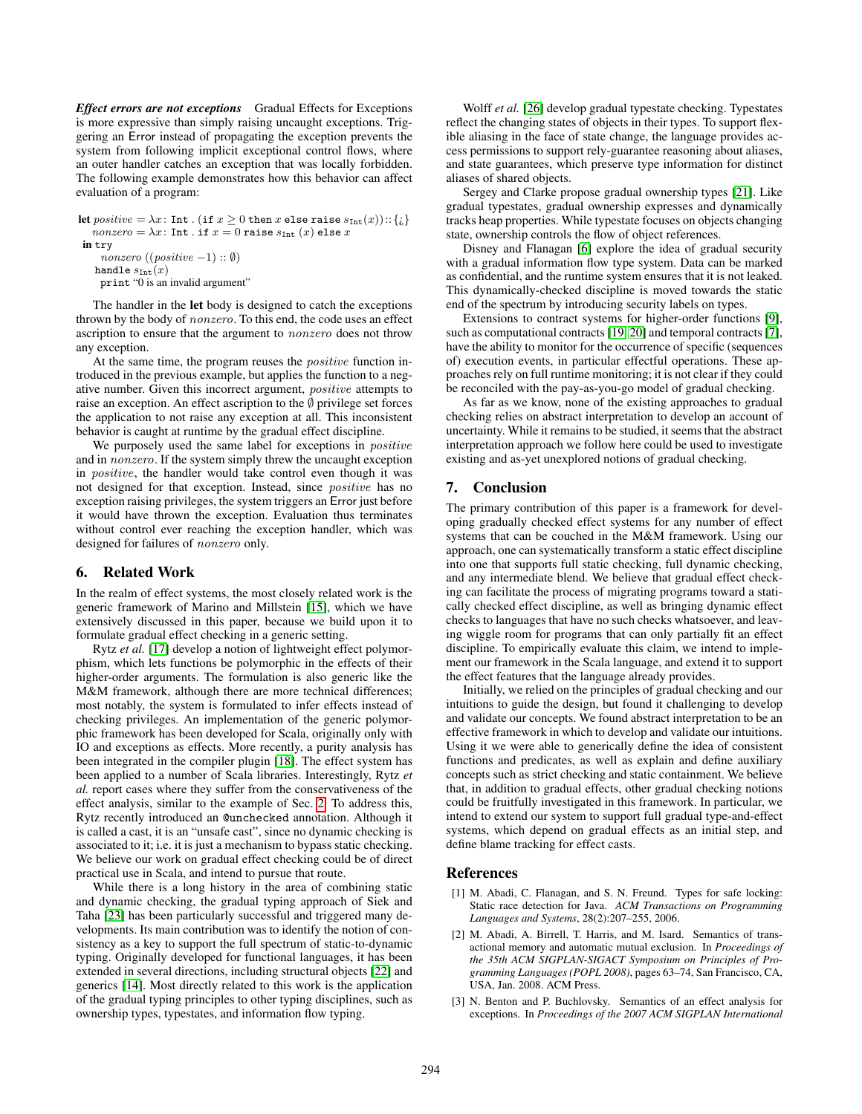*Effect errors are not exceptions* Gradual Effects for Exceptions is more expressive than simply raising uncaught exceptions. Triggering an Error instead of propagating the exception prevents the system from following implicit exceptional control flows, where an outer handler catches an exception that was locally forbidden. The following example demonstrates how this behavior can affect evaluation of a program:

let  $positive = \lambda x$ : Int. (if  $x \geq 0$  then  $x$  else raise  $s_{\text{Int}}(x)$ ):: { $\iota$ }  $nonzero = \lambda x$ : Int. if  $x = 0$  raise  $s_{\text{Int}}(x)$  else  $x$ in try nonzero ((positive  $-1$ ) :: Ø) handle  $s_{\text{Int}}(x)$ print "0 is an invalid argument"

The handler in the let body is designed to catch the exceptions thrown by the body of nonzero. To this end, the code uses an effect ascription to ensure that the argument to nonzero does not throw any exception.

At the same time, the program reuses the *positive* function introduced in the previous example, but applies the function to a negative number. Given this incorrect argument, positive attempts to raise an exception. An effect ascription to the  $\emptyset$  privilege set forces the application to not raise any exception at all. This inconsistent behavior is caught at runtime by the gradual effect discipline.

We purposely used the same label for exceptions in *positive* and in nonzero. If the system simply threw the uncaught exception in *positive*, the handler would take control even though it was not designed for that exception. Instead, since positive has no exception raising privileges, the system triggers an Error just before it would have thrown the exception. Evaluation thus terminates without control ever reaching the exception handler, which was designed for failures of nonzero only.

## 6. Related Work

In the realm of effect systems, the most closely related work is the generic framework of Marino and Millstein [\[15\]](#page-12-5), which we have extensively discussed in this paper, because we build upon it to formulate gradual effect checking in a generic setting.

Rytz *et al.* [\[17\]](#page-12-3) develop a notion of lightweight effect polymorphism, which lets functions be polymorphic in the effects of their higher-order arguments. The formulation is also generic like the M&M framework, although there are more technical differences; most notably, the system is formulated to infer effects instead of checking privileges. An implementation of the generic polymorphic framework has been developed for Scala, originally only with IO and exceptions as effects. More recently, a purity analysis has been integrated in the compiler plugin [\[18\]](#page-12-4). The effect system has been applied to a number of Scala libraries. Interestingly, Rytz *et al.* report cases where they suffer from the conservativeness of the effect analysis, similar to the example of Sec. [2.](#page-1-2) To address this, Rytz recently introduced an @unchecked annotation. Although it is called a cast, it is an "unsafe cast", since no dynamic checking is associated to it; i.e. it is just a mechanism to bypass static checking. We believe our work on gradual effect checking could be of direct practical use in Scala, and intend to pursue that route.

While there is a long history in the area of combining static and dynamic checking, the gradual typing approach of Siek and Taha [\[23\]](#page-12-7) has been particularly successful and triggered many developments. Its main contribution was to identify the notion of consistency as a key to support the full spectrum of static-to-dynamic typing. Originally developed for functional languages, it has been extended in several directions, including structural objects [\[22\]](#page-12-6) and generics [\[14\]](#page-12-13). Most directly related to this work is the application of the gradual typing principles to other typing disciplines, such as ownership types, typestates, and information flow typing.

Wolff *et al.* [\[26\]](#page-12-10) develop gradual typestate checking. Typestates reflect the changing states of objects in their types. To support flexible aliasing in the face of state change, the language provides access permissions to support rely-guarantee reasoning about aliases, and state guarantees, which preserve type information for distinct aliases of shared objects.

Sergey and Clarke propose gradual ownership types [\[21\]](#page-12-8). Like gradual typestates, gradual ownership expresses and dynamically tracks heap properties. While typestate focuses on objects changing state, ownership controls the flow of object references.

Disney and Flanagan [\[6\]](#page-12-15) explore the idea of gradual security with a gradual information flow type system. Data can be marked as confidential, and the runtime system ensures that it is not leaked. This dynamically-checked discipline is moved towards the static end of the spectrum by introducing security labels on types.

Extensions to contract systems for higher-order functions [\[9\]](#page-12-20), such as computational contracts [\[19,](#page-12-21) [20\]](#page-12-22) and temporal contracts [\[7\]](#page-12-23), have the ability to monitor for the occurrence of specific (sequences of) execution events, in particular effectful operations. These approaches rely on full runtime monitoring; it is not clear if they could be reconciled with the pay-as-you-go model of gradual checking.

As far as we know, none of the existing approaches to gradual checking relies on abstract interpretation to develop an account of uncertainty. While it remains to be studied, it seems that the abstract interpretation approach we follow here could be used to investigate existing and as-yet unexplored notions of gradual checking.

# 7. Conclusion

The primary contribution of this paper is a framework for developing gradually checked effect systems for any number of effect systems that can be couched in the M&M framework. Using our approach, one can systematically transform a static effect discipline into one that supports full static checking, full dynamic checking, and any intermediate blend. We believe that gradual effect checking can facilitate the process of migrating programs toward a statically checked effect discipline, as well as bringing dynamic effect checks to languages that have no such checks whatsoever, and leaving wiggle room for programs that can only partially fit an effect discipline. To empirically evaluate this claim, we intend to implement our framework in the Scala language, and extend it to support the effect features that the language already provides.

Initially, we relied on the principles of gradual checking and our intuitions to guide the design, but found it challenging to develop and validate our concepts. We found abstract interpretation to be an effective framework in which to develop and validate our intuitions. Using it we were able to generically define the idea of consistent functions and predicates, as well as explain and define auxiliary concepts such as strict checking and static containment. We believe that, in addition to gradual effects, other gradual checking notions could be fruitfully investigated in this framework. In particular, we intend to extend our system to support full gradual type-and-effect systems, which depend on gradual effects as an initial step, and define blame tracking for effect casts.

## **References**

- <span id="page-11-0"></span>[1] M. Abadi, C. Flanagan, and S. N. Freund. Types for safe locking: Static race detection for Java. *ACM Transactions on Programming Languages and Systems*, 28(2):207–255, 2006.
- [2] M. Abadi, A. Birrell, T. Harris, and M. Isard. Semantics of transactional memory and automatic mutual exclusion. In *Proceedings of the 35th ACM SIGPLAN-SIGACT Symposium on Principles of Programming Languages (POPL 2008)*, pages 63–74, San Francisco, CA, USA, Jan. 2008. ACM Press.
- <span id="page-11-1"></span>[3] N. Benton and P. Buchlovsky. Semantics of an effect analysis for exceptions. In *Proceedings of the 2007 ACM SIGPLAN International*